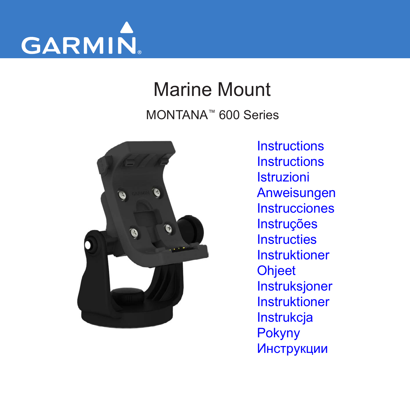

# Marine Mount MONTANA™ 600 Series



**[Instructions](#page-1-0) [Instructions](#page-7-0)** [Istruzioni](#page-13-0) [Anweisungen](#page-19-0) **[Instrucciones](#page-25-0)** [Instruções](#page-31-0) **[Instructies](#page-37-0)** [Instruktioner](#page-43-0) **[Ohjeet](#page-49-0)** [Instruksjoner](#page-55-0) [Instruktioner](#page-61-0) [Instrukcja](#page-67-0) [Pokyny](#page-73-0)  [Инструкции](#page-79-0)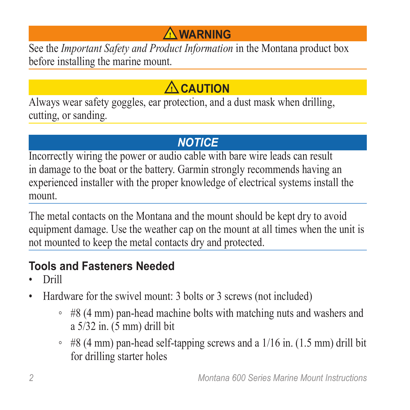# **Warning**

<span id="page-1-0"></span>See the *Important Safety and Product Information* in the Montana product box before installing the marine mount.

# **CAUTION**

Always wear safety goggles, ear protection, and a dust mask when drilling, cutting, or sanding.

# *notice*

Incorrectly wiring the power or audio cable with bare wire leads can result in damage to the boat or the battery. Garmin strongly recommends having an experienced installer with the proper knowledge of electrical systems install the mount.

The metal contacts on the Montana and the mount should be kept dry to avoid equipment damage. Use the weather cap on the mount at all times when the unit is not mounted to keep the metal contacts dry and protected.

# **Tools and Fasteners Needed**

- Drill
- Hardware for the swivel mount: 3 bolts or 3 screws (not included)
	- #8 (4 mm) pan-head machine bolts with matching nuts and washers and a 5/32 in. (5 mm) drill bit
	- $\cdot$  #8 (4 mm) pan-head self-tapping screws and a 1/16 in. (1.5 mm) drill bit for drilling starter holes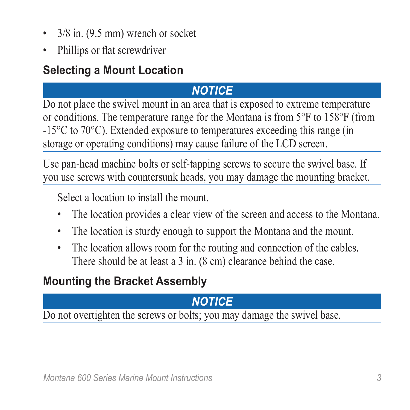- 3/8 in. (9.5 mm) wrench or socket
- Phillips or flat screwdriver

# **Selecting a Mount Location**

# *notice*

Do not place the swivel mount in an area that is exposed to extreme temperature or conditions. The temperature range for the Montana is from 5°F to 158°F (from -15°C to 70°C). Extended exposure to temperatures exceeding this range (in storage or operating conditions) may cause failure of the LCD screen.

Use pan-head machine bolts or self-tapping screws to secure the swivel base. If you use screws with countersunk heads, you may damage the mounting bracket.

Select a location to install the mount.

- The location provides a clear view of the screen and access to the Montana.
- The location is sturdy enough to support the Montana and the mount.
- The location allows room for the routing and connection of the cables. There should be at least a 3 in. (8 cm) clearance behind the case.

# **Mounting the Bracket Assembly**

# *notice*

Do not overtighten the screws or bolts; you may damage the swivel base.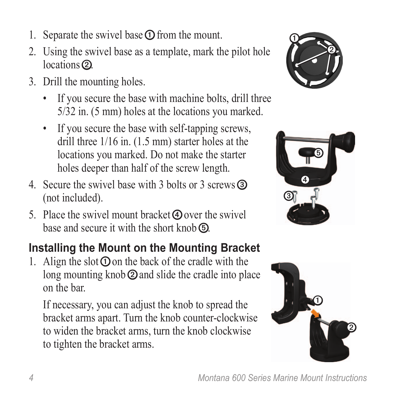- 1. Separate the swivel base  $\Phi$  from the mount.
- 2. Using the swivel base as a template, mark the pilot hole locations<sup>(2)</sup>.
- 3. Drill the mounting holes.
	- If you secure the base with machine bolts, drill three 5/32 in. (5 mm) holes at the locations you marked.
	- If you secure the base with self-tapping screws, drill three 1/16 in. (1.5 mm) starter holes at the locations you marked. Do not make the starter holes deeper than half of the screw length.
- 4. Secure the swivel base with 3 bolts or 3 screws ➌ (not included).
- 5. Place the swivel mount bracket  $\Theta$  over the swivel base and secure it with the short knob **b**.

# **Installing the Mount on the Mounting Bracket**

1. Align the slot  $\Phi$  on the back of the cradle with the long mounting knob  $\odot$  and slide the cradle into place on the bar.

If necessary, you can adjust the knob to spread the bracket arms apart. Turn the knob counter-clockwise to widen the bracket arms, turn the knob clockwise to tighten the bracket arms.





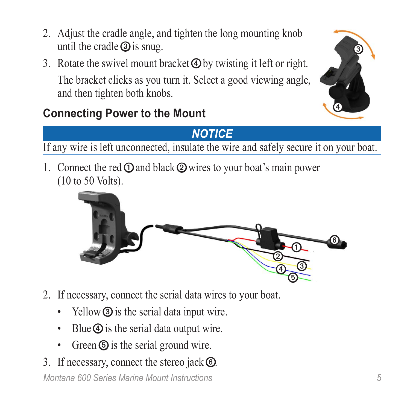- 2. Adjust the cradle angle, and tighten the long mounting knob until the cradle  $\circled{3}$  is snug.
- 3. Rotate the swivel mount bracket  $\bigcircledA$  by twisting it left or right. The bracket clicks as you turn it. Select a good viewing angle, and then tighten both knobs.



# **Connecting Power to the Mount**

### *Notice*

If any wire is left unconnected, insulate the wire and safely secure it on your boat.

1. Connect the red  $\odot$  and black  $\odot$  wires to your boat's main power (10 to 50 Volts).



- 2. If necessary, connect the serial data wires to your boat.
	- Yellow **③** is the serial data input wire.
	- Blue  $\Phi$  is the serial data output wire.
	- Green  $\odot$  is the serial ground wire.
- *Montana 600 Series Marine Mount Instructions 5* 3. If necessary, connect the stereo jack  $\circled{6}$ .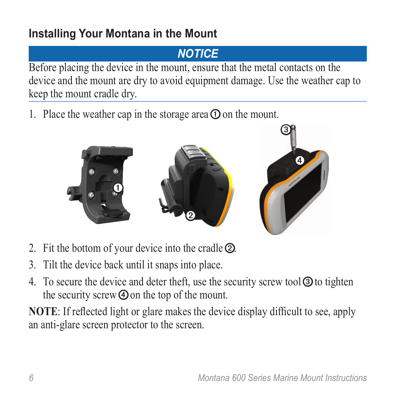# **Installing Your Montana in the Mount**

# *Notice*

Before placing the device in the mount, ensure that the metal contacts on the device and the mount are dry to avoid equipment damage. Use the weather cap to keep the mount cradle dry.

1. Place the weather cap in the storage area  $\Phi$  on the mount.



- 2. Fit the bottom of your device into the cradle ➋.
- 3. Tilt the device back until it snaps into place.
- 4. To secure the device and deter theft, use the security screw tool **I** to tighten the security screw  $\Phi$  on the top of the mount.

**NOTE**: If reflected light or glare makes the device display difficult to see, apply an anti-glare screen protector to the screen.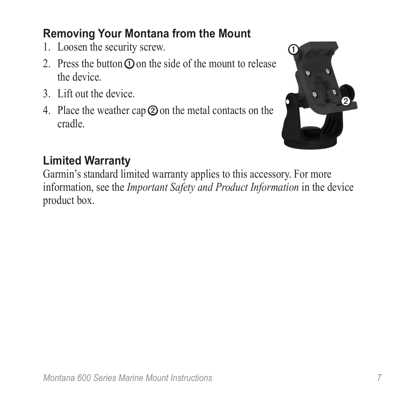# **Removing Your Montana from the Mount**

- 1. Loosen the security screw.
- 2. Press the button  $\odot$  on the side of the mount to release the device.
- 3. Lift out the device.
- 4. Place the weather cap **②** on the metal contacts on the cradle.



# **Limited Warranty**

Garmin's standard limited warranty applies to this accessory. For more information, see the *Important Safety and Product Information* in the device product box.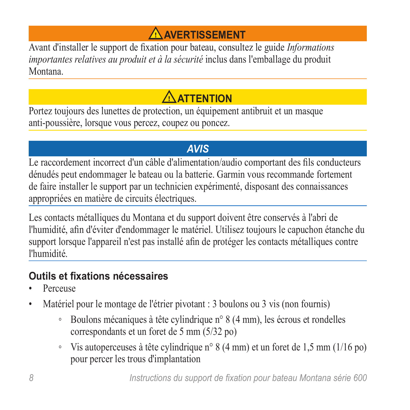# **Avertissement**

<span id="page-7-0"></span>Avant d'installer le support de fixation pour bateau, consultez le guide *Informations importantes relatives au produit et à la sécurité* inclus dans l'emballage du produit Montana.

# **ATTENTION**

Portez toujours des lunettes de protection, un équipement antibruit et un masque anti-poussière, lorsque vous percez, coupez ou poncez.

#### *avis*

Le raccordement incorrect d'un câble d'alimentation/audio comportant des fils conducteurs dénudés peut endommager le bateau ou la batterie. Garmin vous recommande fortement de faire installer le support par un technicien expérimenté, disposant des connaissances appropriées en matière de circuits électriques.

Les contacts métalliques du Montana et du support doivent être conservés à l'abri de l'humidité, afin d'éviter d'endommager le matériel. Utilisez toujours le capuchon étanche du support lorsque l'appareil n'est pas installé afin de protéger les contacts métalliques contre l'humidité.

#### **Outils et fixations nécessaires**

- Perceuse
- Matériel pour le montage de l'étrier pivotant : 3 boulons ou 3 vis (non fournis)
	- Boulons mécaniques à tête cylindrique n° 8 (4 mm), les écrous et rondelles correspondants et un foret de 5 mm (5/32 po)
	- Vis autoperceuses à tête cylindrique n° 8 (4 mm) et un foret de 1,5 mm (1/16 po) pour percer les trous d'implantation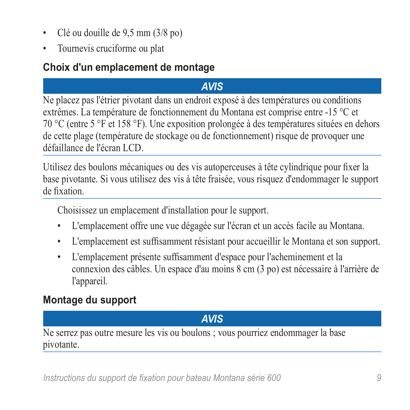- Clé ou douille de 9,5 mm (3/8 po)
- Tournevis cruciforme ou plat

#### **Choix d'un emplacement de montage**

#### *avis*

Ne placez pas l'étrier pivotant dans un endroit exposé à des températures ou conditions extrêmes. La température de fonctionnement du Montana est comprise entre -15 °C et 70 °C (entre 5 °F et 158 °F). Une exposition prolongée à des températures situées en dehors de cette plage (température de stockage ou de fonctionnement) risque de provoquer une défaillance de l'écran LCD.

Utilisez des boulons mécaniques ou des vis autoperceuses à tête cylindrique pour fixer la base pivotante. Si vous utilisez des vis à tête fraisée, vous risquez d'endommager le support de fixation.

Choisissez un emplacement d'installation pour le support.

- L'emplacement offre une vue dégagée sur l'écran et un accès facile au Montana.
- L'emplacement est suffisamment résistant pour accueillir le Montana et son support.
- L'emplacement présente suffisamment d'espace pour l'acheminement et la connexion des câbles. Un espace d'au moins 8 cm (3 po) est nécessaire à l'arrière de l'appareil.

#### **Montage du support**

#### *avis*

Ne serrez pas outre mesure les vis ou boulons ; vous pourriez endommager la base pivotante.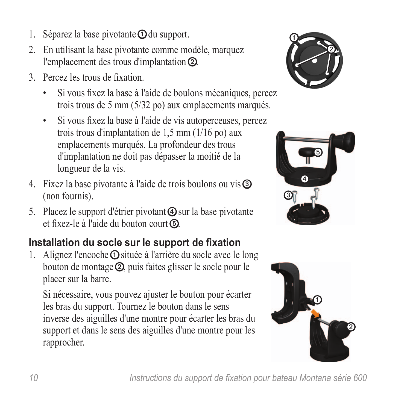- 1. Séparez la base pivotante  $\Omega$  du support.
- 2. En utilisant la base pivotante comme modèle, marquez l'emplacement des trous d'implantation ➋.
- 3. Percez les trous de fixation.
	- Si vous fixez la base à l'aide de boulons mécaniques, percez trois trous de 5 mm (5/32 po) aux emplacements marqués.
	- Si vous fixez la base à l'aide de vis autoperceuses, percez trois trous d'implantation de 1,5 mm (1/16 po) aux emplacements marqués. La profondeur des trous d'implantation ne doit pas dépasser la moitié de la longueur de la vis.
- 4. Fixez la base pivotante à l'aide de trois boulons ou vis ➌ (non fournis).
- 5. Placez le support d'étrier pivotant  $\Phi$  sur la base pivotante et fixez-le à l'aide du bouton court ➎.

# **Installation du socle sur le support de fixation**

1. Alignez l'encoche  $\Phi$  située à l'arrière du socle avec le long bouton de montage ➋, puis faites glisser le socle pour le placer sur la barre.

Si nécessaire, vous pouvez ajuster le bouton pour écarter les bras du support. Tournez le bouton dans le sens inverse des aiguilles d'une montre pour écarter les bras du support et dans le sens des aiguilles d'une montre pour les rapprocher.





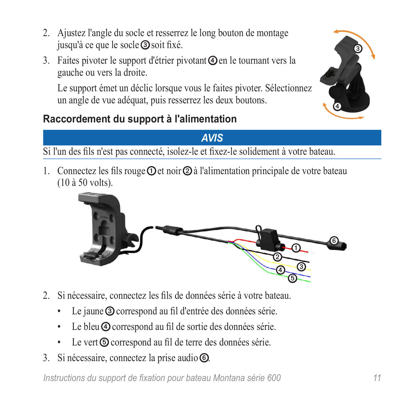*Instructions du support de fixation pour bateau Montana série 600 11*

 $\circledcirc$ ➎

- 2. Ajustez l'angle du socle et resserrez le long bouton de montage jusqu'à ce que le socle ➌ soit fixé.
- 3. Faites pivoter le support d'étrier pivotant  $\Phi$  en le tournant vers la gauche ou vers la droite.

Le support émet un déclic lorsque vous le faites pivoter. Sélectionnez un angle de vue adéquat, puis resserrez les deux boutons.

#### **Raccordement du support à l'alimentation**

Si l'un des fils n'est pas connecté, isolez-le et fixez-le solidement à votre bateau.

1. Connectez les fils rouge  $\odot$  et noir  $\odot$  à l'alimentation principale de votre bateau (10 à 50 volts).

- 2. Si nécessaire, connectez les fils de données série à votre bateau.
	- Le jaune **③** correspond au fil d'entrée des données série.
	- Le bleu  $\Phi$  correspond au fil de sortie des données série.
	- Le vert **O** correspond au fil de terre des données série.
- 3. Si nécessaire, connectez la prise audio .



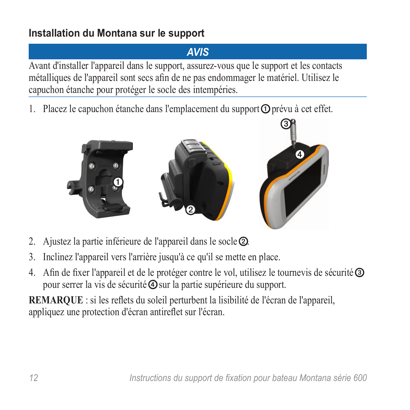#### **Installation du Montana sur le support**

#### *Avis*

Avant d'installer l'appareil dans le support, assurez-vous que le support et les contacts métalliques de l'appareil sont secs afin de ne pas endommager le matériel. Utilisez le capuchon étanche pour protéger le socle des intempéries.

1. Placez le capuchon étanche dans l'emplacement du support  $\Phi$  prévu à cet effet.



- 2. Ajustez la partie inférieure de l'appareil dans le socle ➋.
- 3. Inclinez l'appareil vers l'arrière jusqu'à ce qu'il se mette en place.
- 4. Afin de fixer l'appareil et de le protéger contre le vol, utilisez le tournevis de sécurité **③** pour serrer la vis de sécurité  $\ddot{\textbf{Q}}$  sur la partie supérieure du support.

**REMARQUE** : si les reflets du soleil perturbent la lisibilité de l'écran de l'appareil, appliquez une protection d'écran antireflet sur l'écran.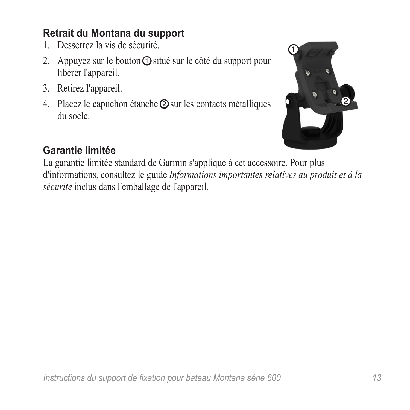#### **Retrait du Montana du support**

- 1. Desserrez la vis de sécurité.
- 2. Appuyez sur le bouton  $\overline{O}$  situé sur le côté du support pour libérer l'appareil.
- 3. Retirez l'appareil.
- 4. Placez le capuchon étanche  $\odot$  sur les contacts métalliques du socle.



#### **Garantie limitée**

La garantie limitée standard de Garmin s'applique à cet accessoire. Pour plus d'informations, consultez le guide *Informations importantes relatives au produit et à la sécurité* inclus dans l'emballage de l'appareil.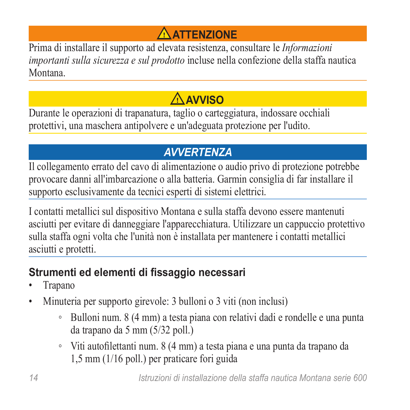# **Attenzione**

<span id="page-13-0"></span>Prima di installare il supporto ad elevata resistenza, consultare le *Informazioni importanti sulla sicurezza e sul prodotto* incluse nella confezione della staffa nautica Montana.

# **AVVISO**

Durante le operazioni di trapanatura, taglio o carteggiatura, indossare occhiali protettivi, una maschera antipolvere e un'adeguata protezione per l'udito.

# *avvertenza*

Il collegamento errato del cavo di alimentazione o audio privo di protezione potrebbe provocare danni all'imbarcazione o alla batteria. Garmin consiglia di far installare il supporto esclusivamente da tecnici esperti di sistemi elettrici.

I contatti metallici sul dispositivo Montana e sulla staffa devono essere mantenuti asciutti per evitare di danneggiare l'apparecchiatura. Utilizzare un cappuccio protettivo sulla staffa ogni volta che l'unità non è installata per mantenere i contatti metallici asciutti e protetti.

### **Strumenti ed elementi di fissaggio necessari**

- Trapano
- Minuteria per supporto girevole: 3 bulloni o 3 viti (non inclusi)
	- Bulloni num. 8 (4 mm) a testa piana con relativi dadi e rondelle e una punta da trapano da 5 mm (5/32 poll.)
	- Viti autofilettanti num. 8 (4 mm) a testa piana e una punta da trapano da 1,5 mm (1/16 poll.) per praticare fori guida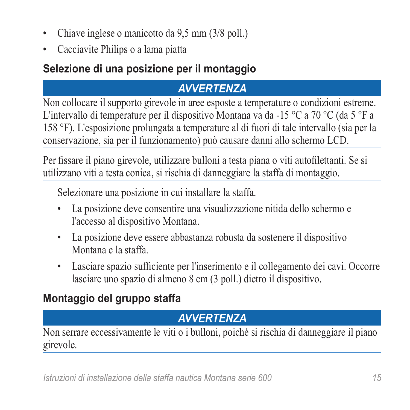- Chiave inglese o manicotto da 9,5 mm (3/8 poll.)
- Cacciavite Philips o a lama piatta

## **Selezione di una posizione per il montaggio**

# *avvertenza*

Non collocare il supporto girevole in aree esposte a temperature o condizioni estreme. L'intervallo di temperature per il dispositivo Montana va da -15 °C a 70 °C (da 5 °F a 158 °F). L'esposizione prolungata a temperature al di fuori di tale intervallo (sia per la conservazione, sia per il funzionamento) può causare danni allo schermo LCD.

Per fissare il piano girevole, utilizzare bulloni a testa piana o viti autofilettanti. Se si utilizzano viti a testa conica, si rischia di danneggiare la staffa di montaggio.

Selezionare una posizione in cui installare la staffa.

- La posizione deve consentire una visualizzazione nitida dello schermo e l'accesso al dispositivo Montana.
- La posizione deve essere abbastanza robusta da sostenere il dispositivo Montana e la staffa.
- Lasciare spazio sufficiente per l'inserimento e il collegamento dei cavi. Occorre lasciare uno spazio di almeno 8 cm (3 poll.) dietro il dispositivo.

# **Montaggio del gruppo staffa**

# *avvertenza*

Non serrare eccessivamente le viti o i bulloni, poiché si rischia di danneggiare il piano girevole.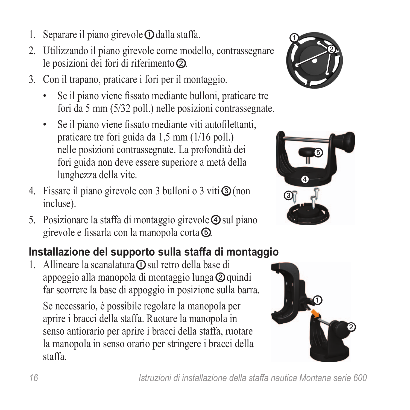- 1. Separare il piano girevole  $\Omega$  dalla staffa.
- 2. Utilizzando il piano girevole come modello, contrassegnare le posizioni dei fori di riferimento ➋.
- 3. Con il trapano, praticare i fori per il montaggio.
	- Se il piano viene fissato mediante bulloni, praticare tre fori da 5 mm (5/32 poll.) nelle posizioni contrassegnate.
	- Se il piano viene fissato mediante viti autofilettanti, praticare tre fori guida da 1,5 mm (1/16 poll.) nelle posizioni contrassegnate. La profondità dei fori guida non deve essere superiore a metà della lunghezza della vite.
- 4. Fissare il piano girevole con 3 bulloni o 3 viti **③** (non incluse).
- 5. Posizionare la staffa di montaggio girevole  $\Phi$  sul piano girevole e fissarla con la manopola corta ➎.

## **Installazione del supporto sulla staffa di montaggio**

1. Allineare la scanalatura  $\Omega$  sul retro della base di appoggio alla manopola di montaggio lunga ➋ quindi far scorrere la base di appoggio in posizione sulla barra.

Se necessario, è possibile regolare la manopola per aprire i bracci della staffa. Ruotare la manopola in senso antiorario per aprire i bracci della staffa, ruotare la manopola in senso orario per stringere i bracci della staffa.





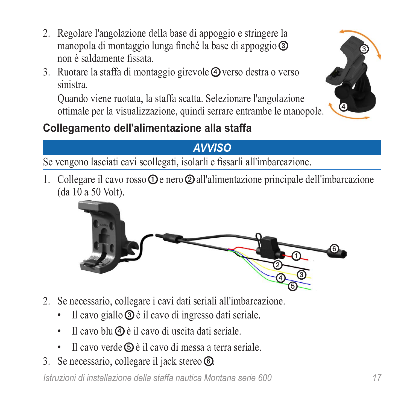- 2. Regolare l'angolazione della base di appoggio e stringere la manopola di montaggio lunga finché la base di appoggio ➌ non è saldamente fissata.
- 3. Ruotare la staffa di montaggio girevole ➍ verso destra o verso sinistra.

Quando viene ruotata, la staffa scatta. Selezionare l'angolazione ottimale per la visualizzazione, quindi serrare entrambe le manopole.





#### *Avviso*

Se vengono lasciati cavi scollegati, isolarli e fissarli all'imbarcazione.

1. Collegare il cavo rosso  $\Omega$  e nero  $\Omega$  all'alimentazione principale dell'imbarcazione (da 10 a 50 Volt).



- 2. Se necessario, collegare i cavi dati seriali all'imbarcazione.
	- Il cavo giallo **③** è il cavo di ingresso dati seriale.
	- Il cavo blu  $\Phi$  è il cavo di uscita dati seriale.
	- Il cavo verde ➎ è il cavo di messa a terra seriale.
- 3. Se necessario, collegare il jack stereo **.**

*Istruzioni di installazione della staffa nautica Montana serie 600 17*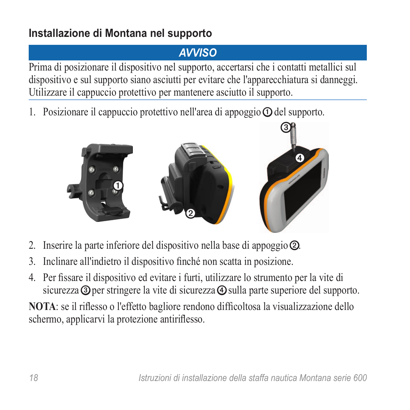### **Installazione di Montana nel supporto**

# *Avviso*

Prima di posizionare il dispositivo nel supporto, accertarsi che i contatti metallici sul dispositivo e sul supporto siano asciutti per evitare che l'apparecchiatura si danneggi. Utilizzare il cappuccio protettivo per mantenere asciutto il supporto.

1. Posizionare il cappuccio protettivo nell'area di appoggio  $\Phi$  del supporto.



- 2. Inserire la parte inferiore del dispositivo nella base di appoggio ➋.
- 3. Inclinare all'indietro il dispositivo finché non scatta in posizione.
- 4. Per fissare il dispositivo ed evitare i furti, utilizzare lo strumento per la vite di sicurezza **③** per stringere la vite di sicurezza **④** sulla parte superiore del supporto.

**NOTA**: se il riflesso o l'effetto bagliore rendono difficoltosa la visualizzazione dello schermo, applicarvi la protezione antiriflesso.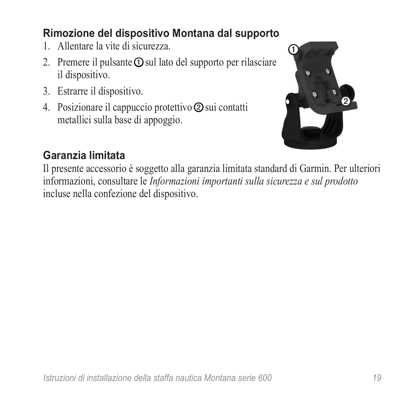#### **Rimozione del dispositivo Montana dal supporto**

- 1. Allentare la vite di sicurezza.
- 2. Premere il pulsante **O** sul lato del supporto per rilasciare il dispositivo.
- 3. Estrarre il dispositivo.
- 4. Posizionare il cappuccio protettivo ➋ sui contatti metallici sulla base di appoggio.



### **Garanzia limitata**

Il presente accessorio è soggetto alla garanzia limitata standard di Garmin. Per ulteriori informazioni, consultare le *Informazioni importanti sulla sicurezza e sul prodotto* incluse nella confezione del dispositivo.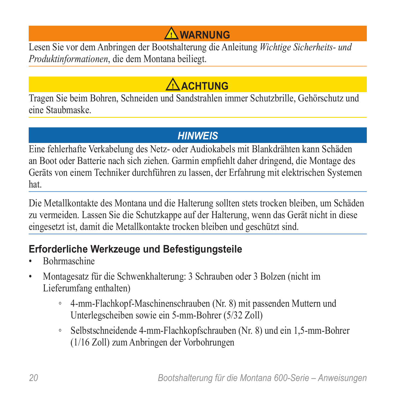# **Warnung**

<span id="page-19-0"></span>Lesen Sie vor dem Anbringen der Bootshalterung die Anleitung *Wichtige Sicherheits- und Produktinformationen*, die dem Montana beiliegt.

# **ACHTUNG**

Tragen Sie beim Bohren, Schneiden und Sandstrahlen immer Schutzbrille, Gehörschutz und eine Staubmaske.

#### *Hinweis*

Eine fehlerhafte Verkabelung des Netz- oder Audiokabels mit Blankdrähten kann Schäden an Boot oder Batterie nach sich ziehen. Garmin empfiehlt daher dringend, die Montage des Geräts von einem Techniker durchführen zu lassen, der Erfahrung mit elektrischen Systemen hat.

Die Metallkontakte des Montana und die Halterung sollten stets trocken bleiben, um Schäden zu vermeiden. Lassen Sie die Schutzkappe auf der Halterung, wenn das Gerät nicht in diese eingesetzt ist, damit die Metallkontakte trocken bleiben und geschützt sind.

#### **Erforderliche Werkzeuge und Befestigungsteile**

- Bohrmaschine
- Montagesatz für die Schwenkhalterung: 3 Schrauben oder 3 Bolzen (nicht im Lieferumfang enthalten)
	- 4-mm-Flachkopf-Maschinenschrauben (Nr. 8) mit passenden Muttern und Unterlegscheiben sowie ein 5-mm-Bohrer (5/32 Zoll)
	- Selbstschneidende 4-mm-Flachkopfschrauben (Nr. 8) und ein 1,5-mm-Bohrer (1/16 Zoll) zum Anbringen der Vorbohrungen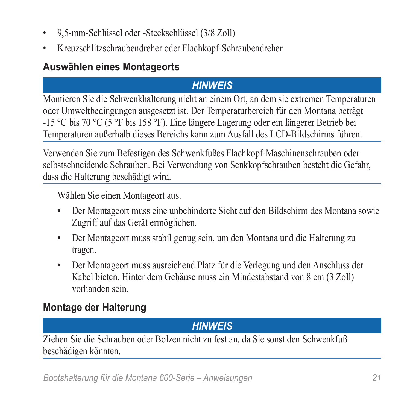- 9,5-mm-Schlüssel oder -Steckschlüssel (3/8 Zoll)
- Kreuzschlitzschraubendreher oder Flachkopf-Schraubendreher

#### **Auswählen eines Montageorts**

#### *Hinweis*

Montieren Sie die Schwenkhalterung nicht an einem Ort, an dem sie extremen Temperaturen oder Umweltbedingungen ausgesetzt ist. Der Temperaturbereich für den Montana beträgt -15 °C bis 70 °C (5 °F bis 158 °F). Eine längere Lagerung oder ein längerer Betrieb bei Temperaturen außerhalb dieses Bereichs kann zum Ausfall des LCD-Bildschirms führen.

Verwenden Sie zum Befestigen des Schwenkfußes Flachkopf-Maschinenschrauben oder selbstschneidende Schrauben. Bei Verwendung von Senkkopfschrauben besteht die Gefahr, dass die Halterung beschädigt wird.

Wählen Sie einen Montageort aus.

- Der Montageort muss eine unbehinderte Sicht auf den Bildschirm des Montana sowie Zugriff auf das Gerät ermöglichen.
- Der Montageort muss stabil genug sein, um den Montana und die Halterung zu tragen.
- Der Montageort muss ausreichend Platz für die Verlegung und den Anschluss der Kabel bieten. Hinter dem Gehäuse muss ein Mindestabstand von 8 cm (3 Zoll) vorhanden sein.

#### **Montage der Halterung**

#### *Hinweis*

Ziehen Sie die Schrauben oder Bolzen nicht zu fest an, da Sie sonst den Schwenkfuß beschädigen könnten.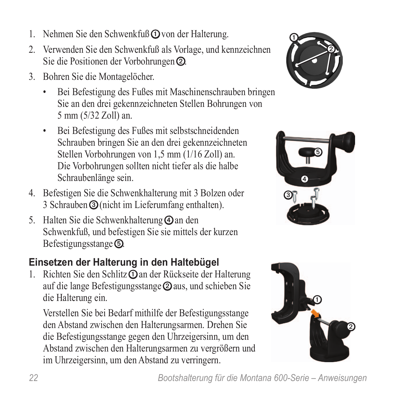- 1. Nehmen Sie den Schwenkfuß **①** von der Halterung.
- 2. Verwenden Sie den Schwenkfuß als Vorlage, und kennzeichnen Sie die Positionen der Vorbohrungen ②.
- 3. Bohren Sie die Montagelöcher.
	- Bei Befestigung des Fußes mit Maschinenschrauben bringen Sie an den drei gekennzeichneten Stellen Bohrungen von 5 mm (5/32 Zoll) an.
	- Bei Befestigung des Fußes mit selbstschneidenden Schrauben bringen Sie an den drei gekennzeichneten Stellen Vorbohrungen von 1,5 mm (1/16 Zoll) an. Die Vorbohrungen sollten nicht tiefer als die halbe Schraubenlänge sein.
- 4. Befestigen Sie die Schwenkhalterung mit 3 Bolzen oder 3 Schrauben ➌ (nicht im Lieferumfang enthalten).
- 5. Halten Sie die Schwenkhalterung  $\Phi$  an den Schwenkfuß, und befestigen Sie sie mittels der kurzen Befestigungsstange ➎.

#### **Einsetzen der Halterung in den Haltebügel**

1. Richten Sie den Schlitz **O** an der Rückseite der Halterung auf die lange Befestigungsstange ➋ aus, und schieben Sie die Halterung ein.

Verstellen Sie bei Bedarf mithilfe der Befestigungsstange den Abstand zwischen den Halterungsarmen. Drehen Sie die Befestigungsstange gegen den Uhrzeigersinn, um den Abstand zwischen den Halterungsarmen zu vergrößern und im Uhrzeigersinn, um den Abstand zu verringern.





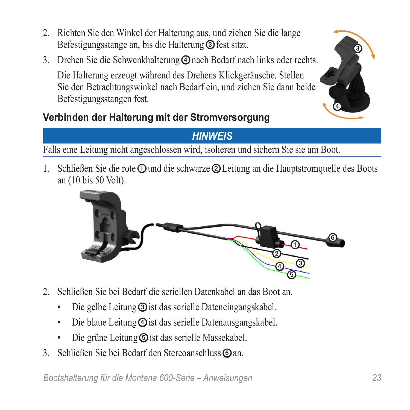- 2. Richten Sie den Winkel der Halterung aus, und ziehen Sie die lange Befestigungsstange an, bis die Halterung ➌ fest sitzt.
- 3. Drehen Sie die Schwenkhalterung ➍ nach Bedarf nach links oder rechts.

Die Halterung erzeugt während des Drehens Klickgeräusche. Stellen Sie den Betrachtungswinkel nach Bedarf ein, und ziehen Sie dann beide Befestigungsstangen fest.

### **Verbinden der Halterung mit der Stromversorgung**



#### *Hinweis*

Falls eine Leitung nicht angeschlossen wird, isolieren und sichern Sie sie am Boot.

1. Schließen Sie die rote **O** und die schwarze **②** Leitung an die Hauptstromquelle des Boots an (10 bis 50 Volt).



- 2. Schließen Sie bei Bedarf die seriellen Datenkabel an das Boot an.
	- Die gelbe Leitung **③** ist das serielle Dateneingangskabel.
	- Die blaue Leitung  $\ddot{\theta}$  ist das serielle Datenausgangskabel.
	- Die grüne Leitung **S** ist das serielle Massekabel.
- 3. Schließen Sie bei Bedarf den Stereoanschluss 
an.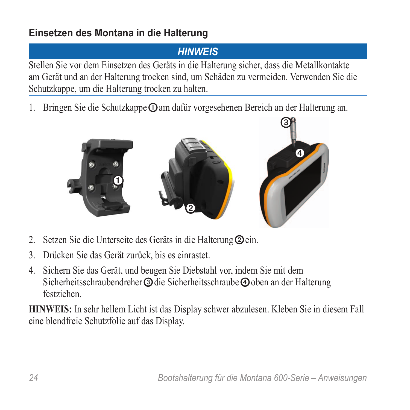#### **Einsetzen des Montana in die Halterung**

### *Hinweis*

Stellen Sie vor dem Einsetzen des Geräts in die Halterung sicher, dass die Metallkontakte am Gerät und an der Halterung trocken sind, um Schäden zu vermeiden. Verwenden Sie die Schutzkappe, um die Halterung trocken zu halten.

1. Bringen Sie die Schutzkappe  $\Phi$ am dafür vorgesehenen Bereich an der Halterung an.



- 2. Setzen Sie die Unterseite des Geräts in die Halterung **②** ein.
- 3. Drücken Sie das Gerät zurück, bis es einrastet.
- 4. Sichern Sie das Gerät, und beugen Sie Diebstahl vor, indem Sie mit dem Sicherheitsschraubendreher **③** die Sicherheitsschraube **④** oben an der Halterung festziehen.

**HINWEIS:** In sehr hellem Licht ist das Display schwer abzulesen. Kleben Sie in diesem Fall eine blendfreie Schutzfolie auf das Display.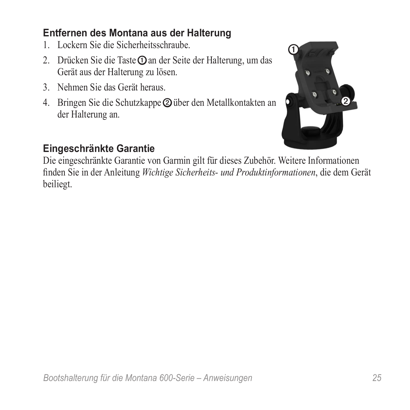#### **Entfernen des Montana aus der Halterung**

- 1. Lockern Sie die Sicherheitsschraube.
- 2. Drücken Sie die Taste **O** an der Seite der Halterung, um das Gerät aus der Halterung zu lösen.
- 3. Nehmen Sie das Gerät heraus.
- 4. Bringen Sie die Schutzkappe  $\odot$ über den Metallkontakten an der Halterung an.



#### **Eingeschränkte Garantie**

Die eingeschränkte Garantie von Garmin gilt für dieses Zubehör. Weitere Informationen finden Sie in der Anleitung *Wichtige Sicherheits- und Produktinformationen*, die dem Gerät beiliegt.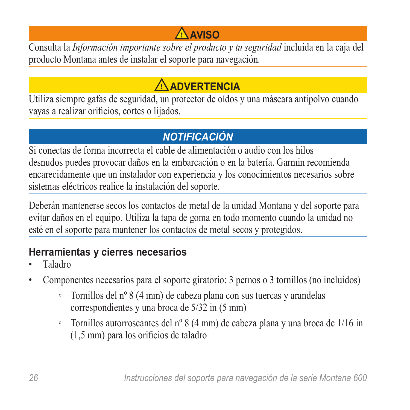# **Aviso**

<span id="page-25-0"></span>Consulta la *Información importante sobre el producto y tu seguridad* incluida en la caja del producto Montana antes de instalar el soporte para navegación.

# **ADVERTENCIA**

Utiliza siempre gafas de seguridad, un protector de oídos y una máscara antipolvo cuando vayas a realizar orificios, cortes o lijados.

### *notificación*

Si conectas de forma incorrecta el cable de alimentación o audio con los hilos desnudos puedes provocar daños en la embarcación o en la batería. Garmin recomienda encarecidamente que un instalador con experiencia y los conocimientos necesarios sobre sistemas eléctricos realice la instalación del soporte.

Deberán mantenerse secos los contactos de metal de la unidad Montana y del soporte para evitar daños en el equipo. Utiliza la tapa de goma en todo momento cuando la unidad no esté en el soporte para mantener los contactos de metal secos y protegidos.

### **Herramientas y cierres necesarios**

- Taladro
- Componentes necesarios para el soporte giratorio: 3 pernos o 3 tornillos (no incluidos)
	- Tornillos del nº 8 (4 mm) de cabeza plana con sus tuercas y arandelas correspondientes y una broca de 5/32 in (5 mm)
	- Tornillos autorroscantes del nº 8 (4 mm) de cabeza plana y una broca de 1/16 in (1,5 mm) para los orificios de taladro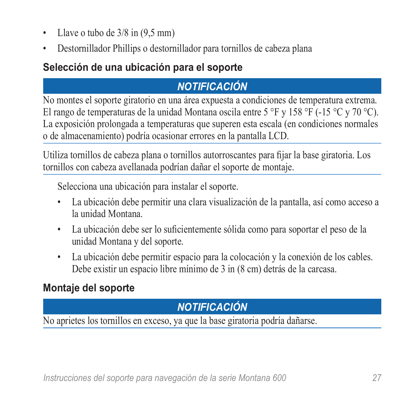- Llave o tubo de  $3/8$  in  $(9.5 \text{ mm})$
- Destornillador Phillips o destornillador para tornillos de cabeza plana

#### **Selección de una ubicación para el soporte**

#### *notificación*

No montes el soporte giratorio en una área expuesta a condiciones de temperatura extrema. El rango de temperaturas de la unidad Montana oscila entre 5 °F y 158 °F (-15 °C y 70 °C). La exposición prolongada a temperaturas que superen esta escala (en condiciones normales o de almacenamiento) podría ocasionar errores en la pantalla LCD.

Utiliza tornillos de cabeza plana o tornillos autorroscantes para fijar la base giratoria. Los tornillos con cabeza avellanada podrían dañar el soporte de montaje.

Selecciona una ubicación para instalar el soporte.

- La ubicación debe permitir una clara visualización de la pantalla, así como acceso a la unidad Montana.
- La ubicación debe ser lo suficientemente sólida como para soportar el peso de la unidad Montana y del soporte.
- La ubicación debe permitir espacio para la colocación y la conexión de los cables. Debe existir un espacio libre mínimo de 3 in (8 cm) detrás de la carcasa.

#### **Montaje del soporte**

### *notificación*

No aprietes los tornillos en exceso, ya que la base giratoria podría dañarse.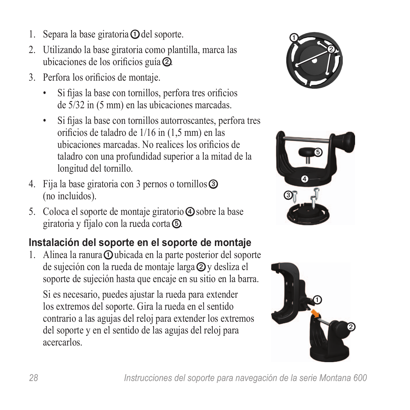- 1. Separa la base giratoria  $\Phi$  del soporte.
- 2. Utilizando la base giratoria como plantilla, marca las ubicaciones de los orificios guía ➋.
- 3. Perfora los orificios de montaje.
	- Si fijas la base con tornillos, perfora tres orificios de 5/32 in (5 mm) en las ubicaciones marcadas.
	- Si fijas la base con tornillos autorroscantes, perfora tres orificios de taladro de 1/16 in (1,5 mm) en las ubicaciones marcadas. No realices los orificios de taladro con una profundidad superior a la mitad de la longitud del tornillo.
- 4. Fija la base giratoria con 3 pernos o tornillos ➌ (no incluidos).
- 5. Coloca el soporte de montaje giratorio  $\Phi$  sobre la base giratoria y fíjalo con la rueda corta ➎.

# **Instalación del soporte en el soporte de montaje**

1. Alinea la ranura  $\Omega$ ubicada en la parte posterior del soporte de sujeción con la rueda de montaje larga ➋ y desliza el soporte de sujeción hasta que encaje en su sitio en la barra.

Si es necesario, puedes ajustar la rueda para extender los extremos del soporte. Gira la rueda en el sentido contrario a las agujas del reloj para extender los extremos del soporte y en el sentido de las agujas del reloj para acercarlos.





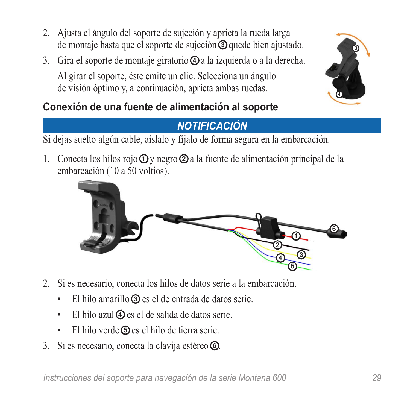- 2. Ajusta el ángulo del soporte de sujeción y aprieta la rueda larga de montaje hasta que el soporte de sujeción ➌ quede bien ajustado.
- 3. Gira el soporte de montaje giratorio  $\Phi$ a la izquierda o a la derecha. Al girar el soporte, éste emite un clic. Selecciona un ángulo de visión óptimo y, a continuación, aprieta ambas ruedas.



### **Conexión de una fuente de alimentación al soporte**

### *Notificación*

Si dejas suelto algún cable, aíslalo y fíjalo de forma segura en la embarcación.

1. Conecta los hilos rojo  $\Phi$  y negro  $\Phi$  a la fuente de alimentación principal de la embarcación (10 a 50 voltios).



- 2. Si es necesario, conecta los hilos de datos serie a la embarcación.
	- El hilo amarillo ➌ es el de entrada de datos serie.
	- El hilo azul $\Phi$  es el de salida de datos serie.
	- El hilo verde **S** es el hilo de tierra serie.
- 3. Si es necesario, conecta la clavija estéreo *o*.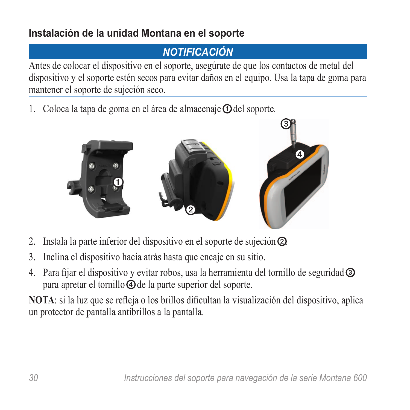#### **Instalación de la unidad Montana en el soporte**

### *Notificación*

Antes de colocar el dispositivo en el soporte, asegúrate de que los contactos de metal del dispositivo y el soporte estén secos para evitar daños en el equipo. Usa la tapa de goma para mantener el soporte de sujeción seco.

1. Coloca la tapa de goma en el área de almacenaje  $\Phi$  del soporte.



- 2. Instala la parte inferior del dispositivo en el soporte de sujeción ➋.
- 3. Inclina el dispositivo hacia atrás hasta que encaje en su sitio.
- 4. Para fijar el dispositivo y evitar robos, usa la herramienta del tornillo de seguridad  $\odot$ para apretar el tornillo ➍ de la parte superior del soporte.

**NOTA**: si la luz que se refleja o los brillos dificultan la visualización del dispositivo, aplica un protector de pantalla antibrillos a la pantalla.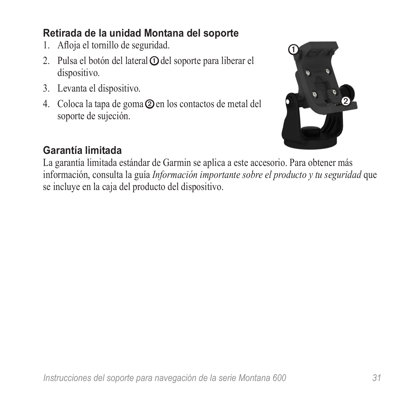#### **Retirada de la unidad Montana del soporte**

- 1. Afloja el tornillo de seguridad.
- 2. Pulsa el botón del lateral **O** del soporte para liberar el dispositivo.
- 3. Levanta el dispositivo.
- 4. Coloca la tapa de goma  $\odot$  en los contactos de metal del soporte de sujeción.



#### **Garantía limitada**

La garantía limitada estándar de Garmin se aplica a este accesorio. Para obtener más información, consulta la guía *Información importante sobre el producto y tu seguridad* que se incluye en la caja del producto del dispositivo.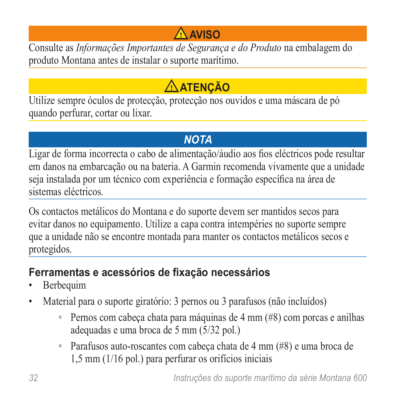# **Aviso**

<span id="page-31-0"></span>Consulte as *Informações Importantes de Segurança e do Produto* na embalagem do produto Montana antes de instalar o suporte marítimo.

# **ATENÇÃO**

Utilize sempre óculos de protecção, protecção nos ouvidos e uma máscara de pó quando perfurar, cortar ou lixar.

# *nota*

Ligar de forma incorrecta o cabo de alimentação/áudio aos fios eléctricos pode resultar em danos na embarcação ou na bateria. A Garmin recomenda vivamente que a unidade seja instalada por um técnico com experiência e formação específica na área de sistemas eléctricos.

Os contactos metálicos do Montana e do suporte devem ser mantidos secos para evitar danos no equipamento. Utilize a capa contra intempéries no suporte sempre que a unidade não se encontre montada para manter os contactos metálicos secos e protegidos.

## **Ferramentas e acessórios de fixação necessários**

- **Berbequim**
- Material para o suporte giratório: 3 pernos ou 3 parafusos (não incluídos)
	- Pernos com cabeça chata para máquinas de 4 mm (#8) com porcas e anilhas adequadas e uma broca de 5 mm (5/32 pol.)
	- Parafusos auto-roscantes com cabeça chata de 4 mm (#8) e uma broca de 1,5 mm (1/16 pol.) para perfurar os orifícios iniciais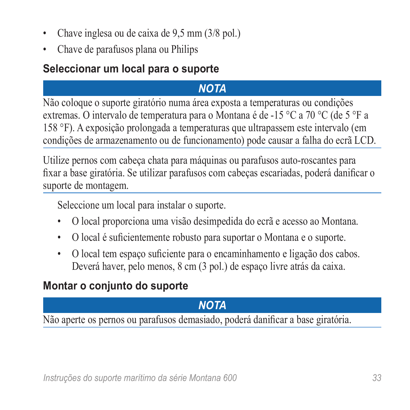- Chave inglesa ou de caixa de 9,5 mm (3/8 pol.)
- Chave de parafusos plana ou Philips

#### **Seleccionar um local para o suporte**

## *nota*

Não coloque o suporte giratório numa área exposta a temperaturas ou condições extremas. O intervalo de temperatura para o Montana é de -15 °C a 70 °C (de 5 °F a 158 °F). A exposição prolongada a temperaturas que ultrapassem este intervalo (em condições de armazenamento ou de funcionamento) pode causar a falha do ecrã LCD.

Utilize pernos com cabeça chata para máquinas ou parafusos auto-roscantes para fixar a base giratória. Se utilizar parafusos com cabeças escariadas, poderá danificar o suporte de montagem.

Seleccione um local para instalar o suporte.

- O local proporciona uma visão desimpedida do ecrã e acesso ao Montana.
- O local é suficientemente robusto para suportar o Montana e o suporte.
- O local tem espaço suficiente para o encaminhamento e ligação dos cabos. Deverá haver, pelo menos, 8 cm (3 pol.) de espaço livre atrás da caixa.

### **Montar o conjunto do suporte**

## *nota*

Não aperte os pernos ou parafusos demasiado, poderá danificar a base giratória.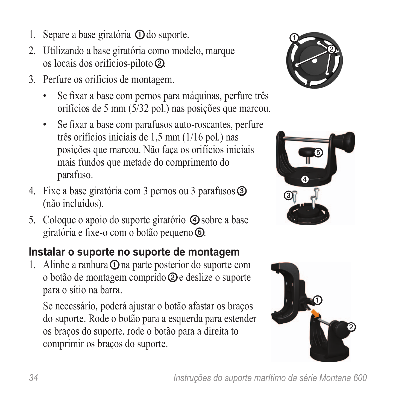- 1. Separe a base giratória  $\Phi$  do suporte.
- 2. Utilizando a base giratória como modelo, marque os locais dos orifícios-piloto ➋.
- 3. Perfure os orifícios de montagem.
	- Se fixar a base com pernos para máquinas, perfure três orifícios de 5 mm (5/32 pol.) nas posições que marcou.
	- Se fixar a base com parafusos auto-roscantes, perfure três orifícios iniciais de 1,5 mm (1/16 pol.) nas posições que marcou. Não faça os orifícios iniciais mais fundos que metade do comprimento do parafuso.
- 4. Fixe a base giratória com 3 pernos ou 3 parafusos ➌ (não incluídos).
- 5. Coloque o apoio do suporte giratório ➍ sobre a base giratória e fixe-o com o botão pequeno ➎.

### **Instalar o suporte no suporte de montagem**

1. Alinhe a ranhura  $\Omega$  na parte posterior do suporte com o botão de montagem comprido ➋ e deslize o suporte para o sítio na barra.

Se necessário, poderá ajustar o botão afastar os braços do suporte. Rode o botão para a esquerda para estender os braços do suporte, rode o botão para a direita to comprimir os braços do suporte.





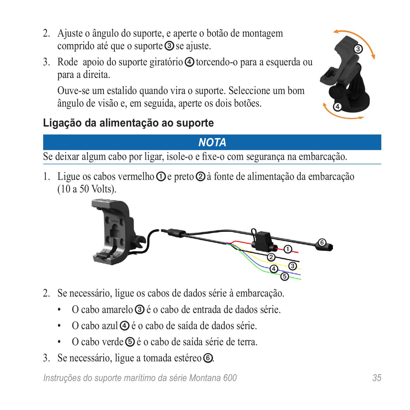- 2. Ajuste o ângulo do suporte, e aperte o botão de montagem comprido até que o suporte **③** se ajuste.
- 3. Rode apoio do suporte giratório ➍ torcendo-o para a esquerda ou para a direita.

Ouve-se um estalido quando vira o suporte. Seleccione um bom ângulo de visão e, em seguida, aperte os dois botões.

# **Ligação da alimentação ao suporte**

### *Nota*

Se deixar algum cabo por ligar, isole-o e fixe-o com segurança na embarcação.

1. Ligue os cabos vermelho  $\Omega$  e preto  $\Omega$  à fonte de alimentação da embarcação (10 a 50 Volts).

- 2. Se necessário, ligue os cabos de dados série à embarcação.
	- O cabo amarelo ➌ é o cabo de entrada de dados série.
	- O cabo azul $\Phi$  é o cabo de saída de dados série.
	- O cabo verde **D** é o cabo de saída série de terra.
- 3. Se necessário, ligue a tomada estéreo **.**

*Instruções do suporte marítimo da série Montana 600 35*



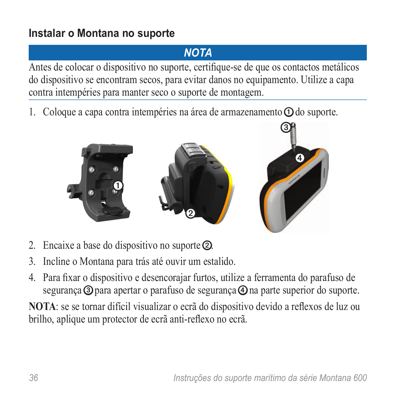### **Instalar o Montana no suporte**

## *NOTA*

Antes de colocar o dispositivo no suporte, certifique-se de que os contactos metálicos do dispositivo se encontram secos, para evitar danos no equipamento. Utilize a capa contra intempéries para manter seco o suporte de montagem.

1. Coloque a capa contra intempéries na área de armazenamento  $\Omega$  do suporte.



- 2. Encaixe a base do dispositivo no suporte ➋.
- 3. Incline o Montana para trás até ouvir um estalido.
- 4. Para fixar o dispositivo e desencorajar furtos, utilize a ferramenta do parafuso de segurança  $\odot$  para apertar o parafuso de segurança  $\odot$  na parte superior do suporte.

**NOTA**: se se tornar difícil visualizar o ecrã do dispositivo devido a reflexos de luz ou brilho, aplique um protector de ecrã anti-reflexo no ecrã.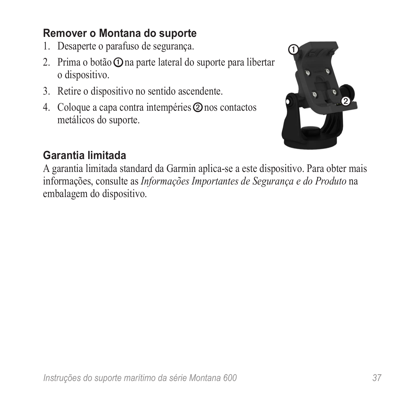#### **Remover o Montana do suporte**

- 1. Desaperte o parafuso de segurança.
- 2. Prima o botão **O** na parte lateral do suporte para libertar o dispositivo.
- 3. Retire o dispositivo no sentido ascendente.
- 4. Coloque a capa contra intempéries ➋ nos contactos metálicos do suporte.



#### **Garantia limitada**

A garantia limitada standard da Garmin aplica-se a este dispositivo. Para obter mais informações, consulte as *Informações Importantes de Segurança e do Produto* na embalagem do dispositivo.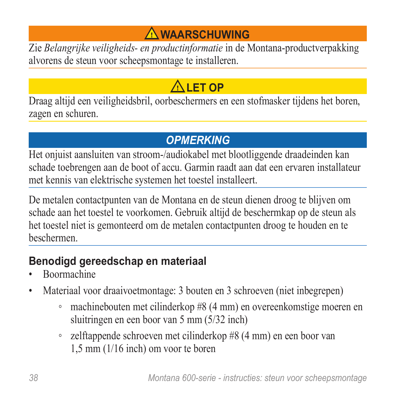# **Waarschuwing**

Zie *Belangrijke veiligheids- en productinformatie* in de Montana-productverpakking alvorens de steun voor scheepsmontage te installeren.

# **ALET OP**

Draag altijd een veiligheidsbril, oorbeschermers en een stofmasker tijdens het boren, zagen en schuren.

### *Opmerking*

Het onjuist aansluiten van stroom-/audiokabel met blootliggende draadeinden kan schade toebrengen aan de boot of accu. Garmin raadt aan dat een ervaren installateur met kennis van elektrische systemen het toestel installeert.

De metalen contactpunten van de Montana en de steun dienen droog te blijven om schade aan het toestel te voorkomen. Gebruik altijd de beschermkap op de steun als het toestel niet is gemonteerd om de metalen contactpunten droog te houden en te beschermen.

### **Benodigd gereedschap en materiaal**

- Boormachine
- Materiaal voor draaivoetmontage: 3 bouten en 3 schroeven (niet inbegrepen)
	- machinebouten met cilinderkop #8 (4 mm) en overeenkomstige moeren en sluitringen en een boor van 5 mm (5/32 inch)
	- zelftappende schroeven met cilinderkop #8 (4 mm) en een boor van 1,5 mm (1/16 inch) om voor te boren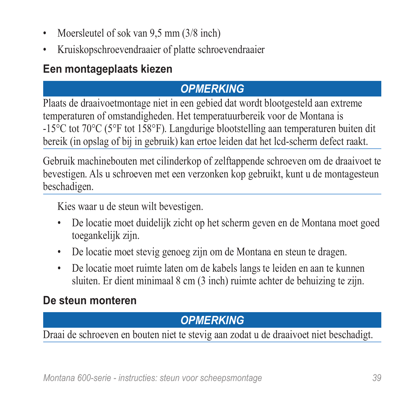- Moersleutel of sok van 9,5 mm (3/8 inch)
- Kruiskopschroevendraaier of platte schroevendraaier

#### **Een montageplaats kiezen**

### *Opmerking*

Plaats de draaivoetmontage niet in een gebied dat wordt blootgesteld aan extreme temperaturen of omstandigheden. Het temperatuurbereik voor de Montana is -15°C tot 70°C (5°F tot 158°F). Langdurige blootstelling aan temperaturen buiten dit bereik (in opslag of bij in gebruik) kan ertoe leiden dat het lcd-scherm defect raakt.

Gebruik machinebouten met cilinderkop of zelftappende schroeven om de draaivoet te bevestigen. Als u schroeven met een verzonken kop gebruikt, kunt u de montagesteun beschadigen.

Kies waar u de steun wilt bevestigen.

- De locatie moet duidelijk zicht op het scherm geven en de Montana moet goed toegankelijk zijn.
- De locatie moet stevig genoeg zijn om de Montana en steun te dragen.
- De locatie moet ruimte laten om de kabels langs te leiden en aan te kunnen sluiten. Er dient minimaal 8 cm (3 inch) ruimte achter de behuizing te zijn.

#### **De steun monteren**

### *Opmerking*

Draai de schroeven en bouten niet te stevig aan zodat u de draaivoet niet beschadigt.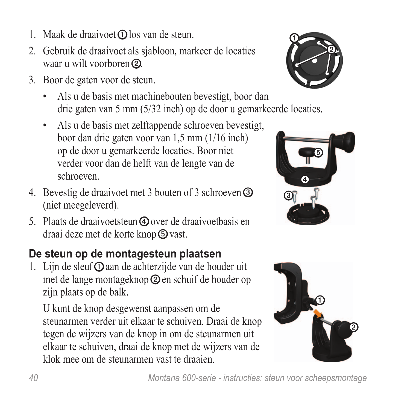- 1. Maak de draaivoet  $\Omega$  los van de steun.
- 2. Gebruik de draaivoet als sjabloon, markeer de locaties waar u wilt voorboren **②**
- 3. Boor de gaten voor de steun.
	- Als u de basis met machinebouten bevestigt, boor dan drie gaten van 5 mm (5/32 inch) op de door u gemarkeerde locaties.
	- Als u de basis met zelftappende schroeven bevestigt, boor dan drie gaten voor van 1,5 mm (1/16 inch) op de door u gemarkeerde locaties. Boor niet verder voor dan de helft van de lengte van de schroeven.
- 4. Bevestig de draaivoet met 3 bouten of 3 schroeven ➌ (niet meegeleverd).
- 5. Plaats de draaivoetsteun ➍ over de draaivoetbasis en draai deze met de korte knop *vast*.

# **De steun op de montagesteun plaatsen**

1. Lijn de sleuf $\Phi$  aan de achterzijde van de houder uit met de lange montageknop ➋ en schuif de houder op zijn plaats op de balk.

U kunt de knop desgewenst aanpassen om de steunarmen verder uit elkaar te schuiven. Draai de knop tegen de wijzers van de knop in om de steunarmen uit elkaar te schuiven, draai de knop met de wijzers van de klok mee om de steunarmen vast te draaien.





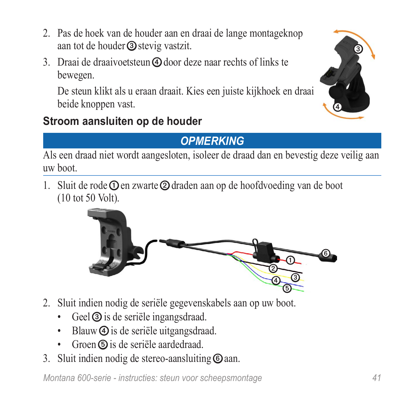- 2. Pas de hoek van de houder aan en draai de lange montageknop aan tot de houder ➌ stevig vastzit.
- 3. Draai de draaivoetsteun ➍ door deze naar rechts of links te bewegen.

De steun klikt als u eraan draait. Kies een juiste kijkhoek en draai beide knoppen vast.

### **Stroom aansluiten op de houder**

### *OPMERKING*

Als een draad niet wordt aangesloten, isoleer de draad dan en bevestig deze veilig aan uw boot.

1. Sluit de rode **O** en zwarte **②** draden aan op de hoofdvoeding van de boot (10 tot 50 Volt).

- 2. Sluit indien nodig de seriële gegevenskabels aan op uw boot.
	- Geel **③** is de seriële ingangsdraad.
	- Blauw  $\Phi$  is de seriële uitgangsdraad.
	- Groen **D** is de seriële aardedraad.
- 3. Sluit indien nodig de stereo-aansluiting  $\odot$  aan.

*Montana 600-serie - instructies: steun voor scheepsmontage 41*



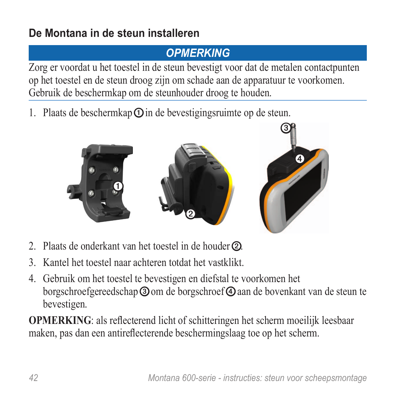### **De Montana in de steun installeren**

### *OPMERKING*

Zorg er voordat u het toestel in de steun bevestigt voor dat de metalen contactpunten op het toestel en de steun droog zijn om schade aan de apparatuur te voorkomen. Gebruik de beschermkap om de steunhouder droog te houden.

1. Plaats de beschermkap  $\odot$  in de bevestigingsruimte op de steun.



- 2. Plaats de onderkant van het toestel in de houder ②
- 3. Kantel het toestel naar achteren totdat het vastklikt.
- 4. Gebruik om het toestel te bevestigen en diefstal te voorkomen het borgschroefgereedschap **③** om de borgschroef **④** aan de bovenkant van de steun te bevestigen.

**OPMERKING**: als reflecterend licht of schitteringen het scherm moeilijk leesbaar maken, pas dan een antireflecterende beschermingslaag toe op het scherm.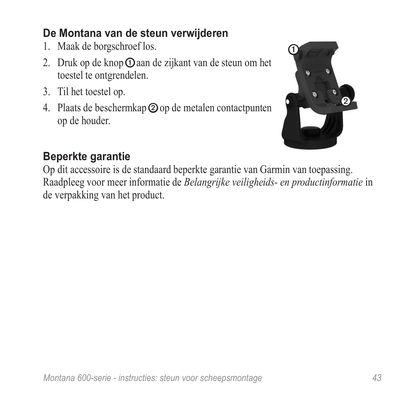#### **De Montana van de steun verwijderen**

- 1. Maak de borgschroef los.
- 2. Druk op de knop **①** aan de zijkant van de steun om het toestel te ontgrendelen.
- 3. Til het toestel op.
- 4. Plaats de beschermkap  $\odot$  op de metalen contactpunten op de houder.



### **Beperkte garantie**

Op dit accessoire is de standaard beperkte garantie van Garmin van toepassing. Raadpleeg voor meer informatie de *Belangrijke veiligheids- en productinformatie* in de verpakking van het product.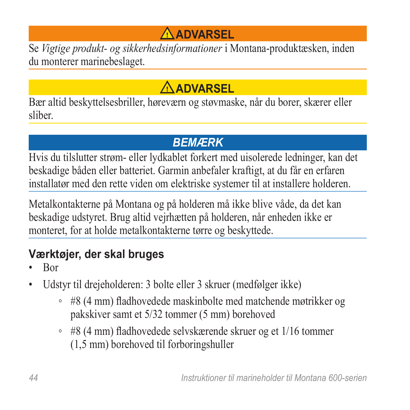# **Advarsel**

Se *Vigtige produkt- og sikkerhedsinformationer* i Montana-produktæsken, inden du monterer marinebeslaget.

# **ADVARSEL**

Bær altid beskyttelsesbriller, høreværn og støvmaske, når du borer, skærer eller sliber.

# *bemærk*

Hvis du tilslutter strøm- eller lydkablet forkert med uisolerede ledninger, kan det beskadige båden eller batteriet. Garmin anbefaler kraftigt, at du får en erfaren installatør med den rette viden om elektriske systemer til at installere holderen.

Metalkontakterne på Montana og på holderen må ikke blive våde, da det kan beskadige udstyret. Brug altid vejrhætten på holderen, når enheden ikke er monteret, for at holde metalkontakterne tørre og beskyttede.

# **Værktøjer, der skal bruges**

- Bor
- Udstyr til drejeholderen: 3 bolte eller 3 skruer (medfølger ikke)
	- #8 (4 mm) fladhovedede maskinbolte med matchende møtrikker og pakskiver samt et 5/32 tommer (5 mm) borehoved
	- #8 (4 mm) fladhovedede selvskærende skruer og et 1/16 tommer (1,5 mm) borehoved til forboringshuller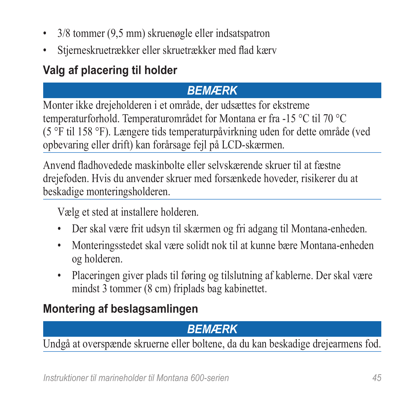- 3/8 tommer (9,5 mm) skruenøgle eller indsatspatron
- Stjerneskruetrækker eller skruetrækker med flad kærv

# **Valg af placering til holder**

#### *bemærk*

Monter ikke drejeholderen i et område, der udsættes for ekstreme temperaturforhold. Temperaturområdet for Montana er fra -15 °C til 70 °C (5 °F til 158 °F). Længere tids temperaturpåvirkning uden for dette område (ved opbevaring eller drift) kan forårsage fejl på LCD-skærmen.

Anvend fladhovedede maskinbolte eller selvskærende skruer til at fæstne drejefoden. Hvis du anvender skruer med forsænkede hoveder, risikerer du at beskadige monteringsholderen.

Vælg et sted at installere holderen.

- Der skal være frit udsyn til skærmen og fri adgang til Montana-enheden.
- Monteringsstedet skal være solidt nok til at kunne bære Montana-enheden og holderen.
- Placeringen giver plads til føring og tilslutning af kablerne. Der skal være mindst 3 tommer (8 cm) friplads bag kabinettet.

# **Montering af beslagsamlingen**

# *bemærk*

Undgå at overspænde skruerne eller boltene, da du kan beskadige drejearmens fod.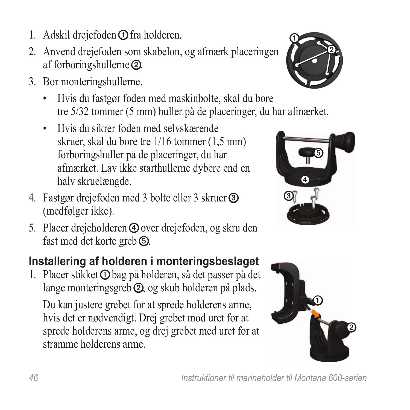- 1. Adskil drejefoden **①** fra holderen.
- 2. Anvend drejefoden som skabelon, og afmærk placeringen af forboringshullerne ➋.
- 3. Bor monteringshullerne.
	- Hvis du fastgør foden med maskinbolte, skal du bore tre 5/32 tommer (5 mm) huller på de placeringer, du har afmærket.
	- Hvis du sikrer foden med selvskærende skruer, skal du bore tre 1/16 tommer (1,5 mm) forboringshuller på de placeringer, du har afmærket. Lav ikke starthullerne dybere end en halv skruelængde.
- 4. Fastgør drejefoden med 3 bolte eller 3 skruer ➌ (medfølger ikke).
- 5. Placer drejeholderen ➍ over drejefoden, og skru den fast med det korte greb **to**.

# **Installering af holderen i monteringsbeslaget**

1. Placer stikket **O** bag på holderen, så det passer på det lange monteringsgreb ➋, og skub holderen på plads.

Du kan justere grebet for at sprede holderens arme, hvis det er nødvendigt. Drej grebet mod uret for at sprede holderens arme, og drej grebet med uret for at stramme holderens arme.





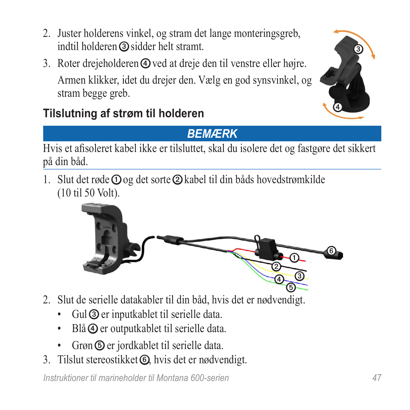- 2. Juster holderens vinkel, og stram det lange monteringsgreb, indtil holderen ➌ sidder helt stramt.
- 3. Roter drejeholderen ➍ ved at dreje den til venstre eller højre. Armen klikker, idet du drejer den. Vælg en god synsvinkel, og stram begge greb.



# **Tilslutning af strøm til holderen**

### *Bemærk*

Hvis et afisoleret kabel ikke er tilsluttet, skal du isolere det og fastgøre det sikkert på din båd.

1. Slut det røde  $\overline{O}$  og det sorte  $\overline{O}$  kabel til din båds hovedstrømkilde (10 til 50 Volt).



- 2. Slut de serielle datakabler til din båd, hvis det er nødvendigt.
	- Gul **③** er inputkablet til serielle data.
	- Blå **4** er outputkablet til serielle data.
	- Grøn ➎ er jordkablet til serielle data.
- 3. Tilslut stereostikket *t*, hvis det er nødvendigt.

*Instruktioner til marineholder til Montana 600-serien 47*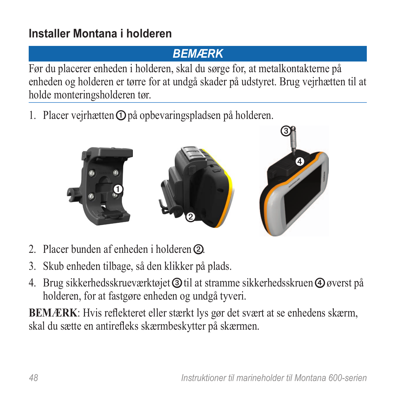# **Installer Montana i holderen**

### *Bemærk*

Før du placerer enheden i holderen, skal du sørge for, at metalkontakterne på enheden og holderen er tørre for at undgå skader på udstyret. Brug vejrhætten til at holde monteringsholderen tør.

1. Placer vejrhætten **O** på opbevaringspladsen på holderen.



- 2. Placer bunden af enheden i holderen **②**.
- 3. Skub enheden tilbage, så den klikker på plads.
- 4. Brug sikkerhedsskrueværktøjet ➌ til at stramme sikkerhedsskruen ➍ øverst på holderen, for at fastgøre enheden og undgå tyveri.

**BEMÆRK**: Hvis reflekteret eller stærkt lys gør det svært at se enhedens skærm, skal du sætte en antirefleks skærmbeskytter på skærmen.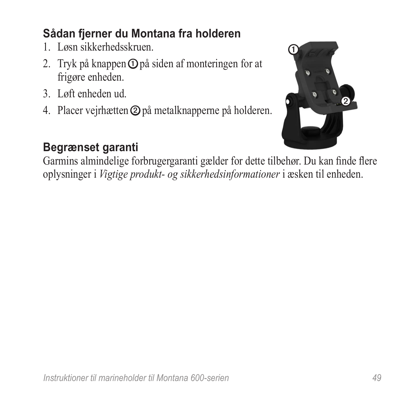# **Sådan fjerner du Montana fra holderen**

- 1. Løsn sikkerhedsskruen.
- 2. Tryk på knappen  $\odot$  på siden af monteringen for at frigøre enheden.
- 3. Løft enheden ud.
- 4. Placer vejrhætten ➋ på metalknapperne på holderen.



# **Begrænset garanti**

Garmins almindelige forbrugergaranti gælder for dette tilbehør. Du kan finde flere oplysninger i *Vigtige produkt- og sikkerhedsinformationer* i æsken til enheden.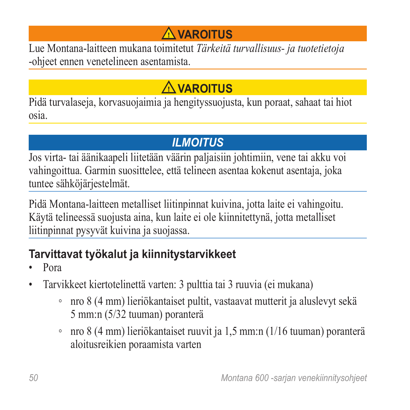# **Varoitus**

Lue Montana-laitteen mukana toimitetut *Tärkeitä turvallisuus- ja tuotetietoja* -ohjeet ennen venetelineen asentamista.

# **VAROITUS**

Pidä turvalaseja, korvasuojaimia ja hengityssuojusta, kun poraat, sahaat tai hiot osia.

# *ilmoitus*

Jos virta- tai äänikaapeli liitetään väärin paljaisiin johtimiin, vene tai akku voi vahingoittua. Garmin suosittelee, että telineen asentaa kokenut asentaja, joka tuntee sähköjärjestelmät.

Pidä Montana-laitteen metalliset liitinpinnat kuivina, jotta laite ei vahingoitu. Käytä telineessä suojusta aina, kun laite ei ole kiinnitettynä, jotta metalliset liitinpinnat pysyvät kuivina ja suojassa.

# **Tarvittavat työkalut ja kiinnitystarvikkeet**

- Pora
- Tarvikkeet kiertotelinettä varten: 3 pulttia tai 3 ruuvia (ei mukana)
	- nro 8 (4 mm) lieriökantaiset pultit, vastaavat mutterit ja aluslevyt sekä 5 mm:n (5/32 tuuman) poranterä
	- nro 8 (4 mm) lieriökantaiset ruuvit ja 1,5 mm:n (1/16 tuuman) poranterä aloitusreikien poraamista varten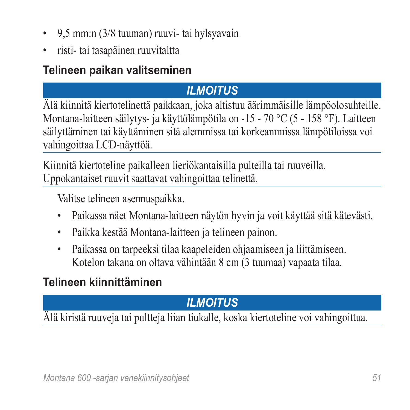- 9,5 mm:n (3/8 tuuman) ruuvi- tai hylsyavain
- risti- tai tasapäinen ruuvitaltta

# **Telineen paikan valitseminen**

# *ilmoitus*

Älä kiinnitä kiertotelinettä paikkaan, joka altistuu äärimmäisille lämpöolosuhteille. Montana-laitteen säilytys- ja käyttölämpötila on -15 - 70 °C (5 - 158 °F). Laitteen säilyttäminen tai käyttäminen sitä alemmissa tai korkeammissa lämpötiloissa voi vahingoittaa LCD-näyttöä.

Kiinnitä kiertoteline paikalleen lieriökantaisilla pulteilla tai ruuveilla. Uppokantaiset ruuvit saattavat vahingoittaa telinettä.

Valitse telineen asennuspaikka.

- Paikassa näet Montana-laitteen näytön hyvin ja voit käyttää sitä kätevästi.
- Paikka kestää Montana-laitteen ja telineen painon.
- Paikassa on tarpeeksi tilaa kaapeleiden ohjaamiseen ja liittämiseen. Kotelon takana on oltava vähintään 8 cm (3 tuumaa) vapaata tilaa.

# **Telineen kiinnittäminen**

# *ilmoitus*

Älä kiristä ruuveja tai pultteja liian tiukalle, koska kiertoteline voi vahingoittua.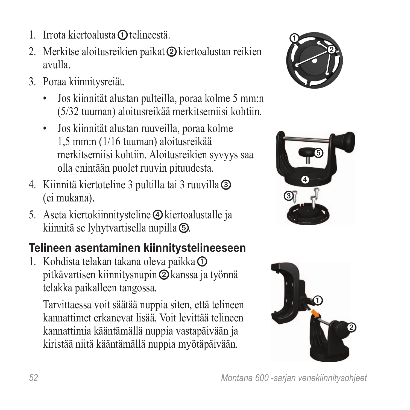- 1. Irrota kiertoalusta  $\Omega$  telineestä.
- 2. Merkitse aloitusreikien paikat ➋ kiertoalustan reikien avulla.
- 3. Poraa kiinnitysreiät.
	- Jos kiinnität alustan pulteilla, poraa kolme 5 mm:n (5/32 tuuman) aloitusreikää merkitsemiisi kohtiin.
	- Jos kiinnität alustan ruuveilla, poraa kolme 1,5 mm:n (1/16 tuuman) aloitusreikää merkitsemiisi kohtiin. Aloitusreikien syvyys saa olla enintään puolet ruuvin pituudesta.
- 4. Kiinnitä kiertoteline 3 pultilla tai 3 ruuvilla ➌ (ei mukana).
- 5. Aseta kiertokiinnitysteline **①** kiertoalustalle ja kiinnitä se lyhytvartisella nupilla ➎.

# **Telineen asentaminen kiinnitystelineeseen**

1. Kohdista telakan takana oleva paikka $\Phi$ pitkävartisen kiinnitysnupin ➋ kanssa ja työnnä telakka paikalleen tangossa.

Tarvittaessa voit säätää nuppia siten, että telineen kannattimet erkanevat lisää. Voit levittää telineen kannattimia kääntämällä nuppia vastapäivään ja kiristää niitä kääntämällä nuppia myötäpäivään.





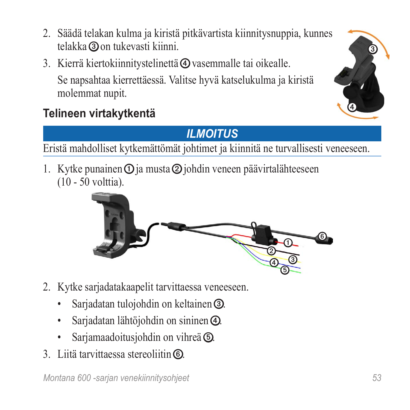*Montana 600 -sarjan venekiinnitysohjeet 53*

- 2. Säädä telakan kulma ja kiristä pitkävartista kiinnitysnuppia, kunnes telakka ➌ on tukevasti kiinni.
- 3. Kierrä kiertokiinnitystelinettä ➍ vasemmalle tai oikealle. Se napsahtaa kierrettäessä. Valitse hyvä katselukulma ja kiristä molemmat nupit.



# *Ilmoitus*

Eristä mahdolliset kytkemättömät johtimet ja kiinnitä ne turvallisesti veneeseen.

1. Kytke punainen  $\Phi$  ja musta  $\Phi$  johdin veneen päävirtalähteeseen (10 - 50 volttia).

- 2. Kytke sarjadatakaapelit tarvittaessa veneeseen.
	- Sarjadatan tulojohdin on keltainen **③**.
	- Sarjadatan lähtöjohdin on sininen  $\Phi$ .
	- Sarjamaadoitusjohdin on vihreä **⑤**.
- 3. Liitä tarvittaessa stereoliitin ➏.



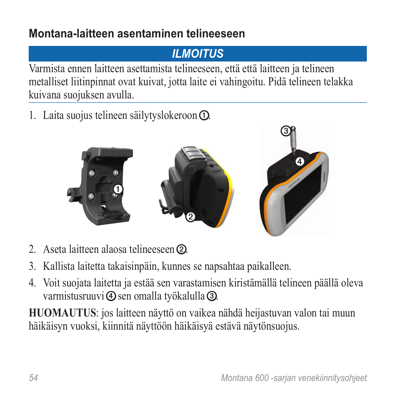### **Montana-laitteen asentaminen telineeseen**

# *Ilmoitus*

Varmista ennen laitteen asettamista telineeseen, että että laitteen ja telineen metalliset liitinpinnat ovat kuivat, jotta laite ei vahingoitu. Pidä telineen telakka kuivana suojuksen avulla.

1. Laita suojus telineen säilytyslokeroon **①**.



- 2. Aseta laitteen alaosa telineeseen **②**.
- 3. Kallista laitetta takaisinpäin, kunnes se napsahtaa paikalleen.
- 4. Voit suojata laitetta ja estää sen varastamisen kiristämällä telineen päällä oleva varmistusruuvi **4** sen omalla työkalulla **③**.

**HUOMAUTUS**: jos laitteen näyttö on vaikea nähdä heijastuvan valon tai muun häikäisyn vuoksi, kiinnitä näyttöön häikäisyä estävä näytönsuojus.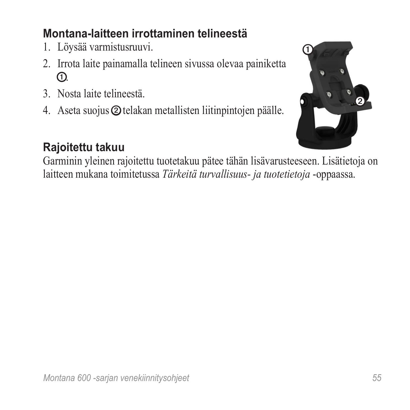### **Montana-laitteen irrottaminen telineestä**

- 1. Löysää varmistusruuvi.
- 2. Irrota laite painamalla telineen sivussa olevaa painiketta  $\Omega$
- 3. Nosta laite telineestä.
- 4. Aseta suojus ➋ telakan metallisten liitinpintojen päälle.



### **Rajoitettu takuu**

Garminin yleinen rajoitettu tuotetakuu pätee tähän lisävarusteeseen. Lisätietoja on laitteen mukana toimitetussa *Tärkeitä turvallisuus- ja tuotetietoja* -oppaassa.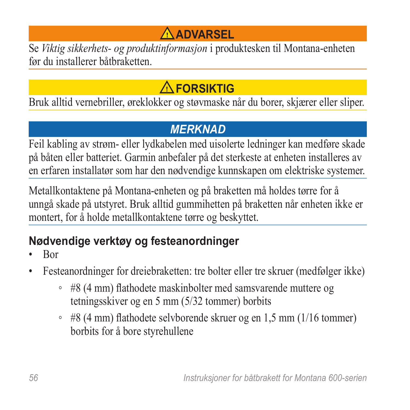# **Advarsel**

Se *Viktig sikkerhets- og produktinformasjon* i produktesken til Montana-enheten før du installerer båtbraketten.

# **FORSIKTIG**

Bruk alltid vernebriller, øreklokker og støvmaske når du borer, skjærer eller sliper.

#### *merknad*

Feil kabling av strøm- eller lydkabelen med uisolerte ledninger kan medføre skade på båten eller batteriet. Garmin anbefaler på det sterkeste at enheten installeres av en erfaren installatør som har den nødvendige kunnskapen om elektriske systemer.

Metallkontaktene på Montana-enheten og på braketten må holdes tørre for å unngå skade på utstyret. Bruk alltid gummihetten på braketten når enheten ikke er montert, for å holde metallkontaktene tørre og beskyttet.

# **Nødvendige verktøy og festeanordninger**

- Bor
- Festeanordninger for dreiebraketten: tre bolter eller tre skruer (medfølger ikke)
	- #8 (4 mm) flathodete maskinbolter med samsvarende muttere og tetningsskiver og en 5 mm (5/32 tommer) borbits
	- #8 (4 mm) flathodete selvborende skruer og en 1,5 mm (1/16 tommer) borbits for å bore styrehullene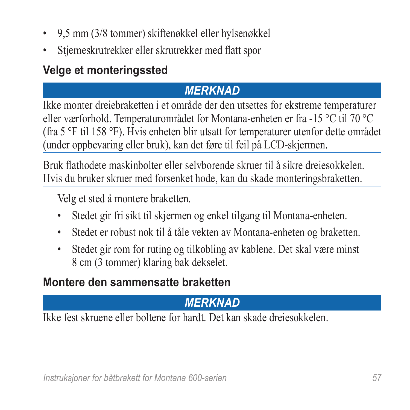- 9,5 mm (3/8 tommer) skiftenøkkel eller hylsenøkkel
- Stjerneskrutrekker eller skrutrekker med flatt spor

### **Velge et monteringssted**

### *merknad*

Ikke monter dreiebraketten i et område der den utsettes for ekstreme temperaturer eller værforhold. Temperaturområdet for Montana-enheten er fra -15 °C til 70 °C (fra 5 °F til 158 °F). Hvis enheten blir utsatt for temperaturer utenfor dette området (under oppbevaring eller bruk), kan det føre til feil på LCD-skjermen.

Bruk flathodete maskinbolter eller selvborende skruer til å sikre dreiesokkelen. Hvis du bruker skruer med forsenket hode, kan du skade monteringsbraketten.

Velg et sted å montere braketten.

- Stedet gir fri sikt til skjermen og enkel tilgang til Montana-enheten.
- Stedet er robust nok til å tåle vekten av Montana-enheten og braketten.
- Stedet gir rom for ruting og tilkobling av kablene. Det skal være minst 8 cm (3 tommer) klaring bak dekselet.

### **Montere den sammensatte braketten**

# *merknad*

Ikke fest skruene eller boltene for hardt. Det kan skade dreiesokkelen.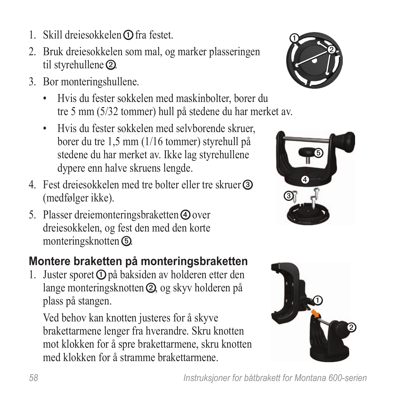- 1. Skill dreiesokkelen  $\Omega$  fra festet.
- 2. Bruk dreiesokkelen som mal, og marker plasseringen til styrehullene ➋.
- 3. Bor monteringshullene.
	- Hvis du fester sokkelen med maskinbolter, borer du tre 5 mm (5/32 tommer) hull på stedene du har merket av.
	- Hvis du fester sokkelen med selvborende skruer, borer du tre 1,5 mm (1/16 tommer) styrehull på stedene du har merket av. Ikke lag styrehullene dypere enn halve skruens lengde.
- 4. Fest dreiesokkelen med tre bolter eller tre skruer ➌ (medfølger ikke).
- 5. Plasser dreiemonteringsbraketten **①** over dreiesokkelen, og fest den med den korte monteringsknotten ➎.

# **Montere braketten på monteringsbraketten**

1. Juster sporet  $\Phi$  på baksiden av holderen etter den lange monteringsknotten ➋, og skyv holderen på plass på stangen.

Ved behov kan knotten justeres for å skyve brakettarmene lenger fra hverandre. Skru knotten mot klokken for å spre brakettarmene, skru knotten med klokken for å stramme brakettarmene.





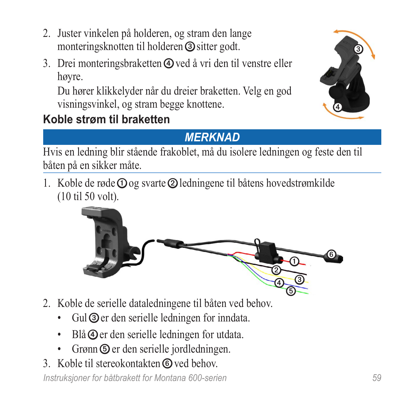- 2. Juster vinkelen på holderen, og stram den lange monteringsknotten til holderen ➌ sitter godt.
- 3. Drei monteringsbraketten  $\Phi$  ved å vri den til venstre eller høyre.

Du hører klikkelyder når du dreier braketten. Velg en god visningsvinkel, og stram begge knottene.

# **Koble strøm til braketten**



### *Merknad*

Hvis en ledning blir stående frakoblet, må du isolere ledningen og feste den til båten på en sikker måte.

1. Koble de røde  $\Omega$  og svarte  $\Omega$  ledningene til båtens hovedstrømkilde (10 til 50 volt).



- 2. Koble de serielle dataledningene til båten ved behov.
	- Gul **③** er den serielle ledningen for inndata.
	- Blå  $\Phi$  er den serielle ledningen for utdata.
	- Grønn  $\odot$  er den serielle jordledningen.
- 3. Koble til stereokontakten © ved behov.

*Instruksjoner for båtbrakett for Montana 600-serien 59*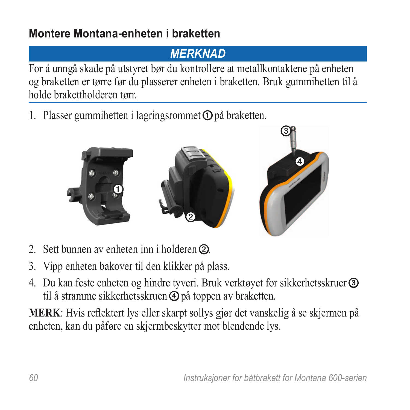### **Montere Montana-enheten i braketten**

### *Merknad*

For å unngå skade på utstyret bør du kontrollere at metallkontaktene på enheten og braketten er tørre før du plasserer enheten i braketten. Bruk gummihetten til å holde brakettholderen tørr.

1. Plasser gummihetten i lagringsrommet **O** på braketten.



- 2. Sett bunnen av enheten inn i holderen **②**.
- 3. Vipp enheten bakover til den klikker på plass.
- 4. Du kan feste enheten og hindre tyveri. Bruk verktøyet for sikkerhetsskruer ➌ til å stramme sikkerhetsskruen **④** på toppen av braketten.

**MERK**: Hvis reflektert lys eller skarpt sollys gjør det vanskelig å se skjermen på enheten, kan du påføre en skjermbeskytter mot blendende lys.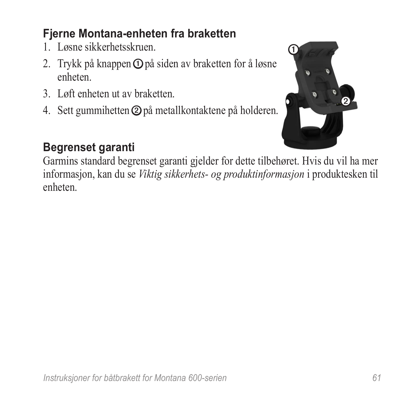# **Fjerne Montana-enheten fra braketten**

- 1. Løsne sikkerhetsskruen.
- 2. Trykk på knappen **①** på siden av braketten for å løsne enheten.
- 3. Løft enheten ut av braketten.
- 4. Sett gummihetten ➋ på metallkontaktene på holderen.



### **Begrenset garanti**

Garmins standard begrenset garanti gjelder for dette tilbehøret. Hvis du vil ha mer informasjon, kan du se *Viktig sikkerhets- og produktinformasjon* i produktesken til enheten.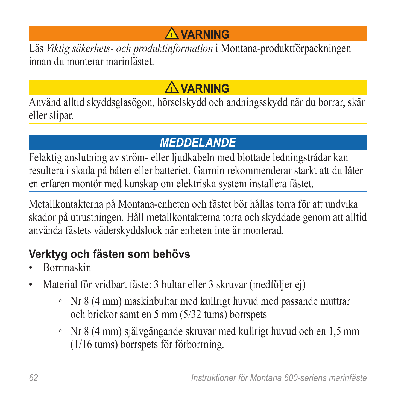# **Varning**

Läs *Viktig säkerhets- och produktinformation* i Montana-produktförpackningen innan du monterar marinfästet.

# **VARNING**

Använd alltid skyddsglasögon, hörselskydd och andningsskydd när du borrar, skär eller slipar.

# *meddelande*

Felaktig anslutning av ström- eller ljudkabeln med blottade ledningstrådar kan resultera i skada på båten eller batteriet. Garmin rekommenderar starkt att du låter en erfaren montör med kunskap om elektriska system installera fästet.

Metallkontakterna på Montana-enheten och fästet bör hållas torra för att undvika skador på utrustningen. Håll metallkontakterna torra och skyddade genom att alltid använda fästets väderskyddslock när enheten inte är monterad.

# **Verktyg och fästen som behövs**

- Borrmaskin
- Material för vridbart fäste: 3 bultar eller 3 skruvar (medföljer ej)
	- Nr 8 (4 mm) maskinbultar med kullrigt huvud med passande muttrar och brickor samt en 5 mm (5/32 tums) borrspets
	- Nr 8 (4 mm) självgängande skruvar med kullrigt huvud och en 1,5 mm (1/16 tums) borrspets för förborrning.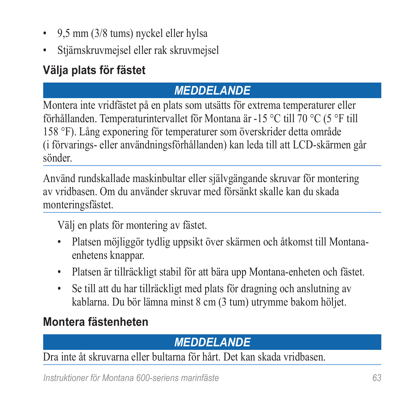- 9,5 mm (3/8 tums) nyckel eller hylsa
- Stjärnskruvmejsel eller rak skruvmejsel

# **Välja plats för fästet**

# *meddelande*

Montera inte vridfästet på en plats som utsätts för extrema temperaturer eller förhållanden. Temperaturintervallet för Montana är -15 °C till 70 °C (5 °F till 158 °F). Lång exponering för temperaturer som överskrider detta område (i förvarings- eller användningsförhållanden) kan leda till att LCD-skärmen går sönder.

Använd rundskallade maskinbultar eller självgängande skruvar för montering av vridbasen. Om du använder skruvar med försänkt skalle kan du skada monteringsfästet.

Välj en plats för montering av fästet.

- Platsen möjliggör tydlig uppsikt över skärmen och åtkomst till Montanaenhetens knappar.
- Platsen är tillräckligt stabil för att bära upp Montana-enheten och fästet.
- Se till att du har tillräckligt med plats för dragning och anslutning av kablarna. Du bör lämna minst 8 cm (3 tum) utrymme bakom höljet.

# **Montera fästenheten**

### *meddelande*

Dra inte åt skruvarna eller bultarna för hårt. Det kan skada vridbasen.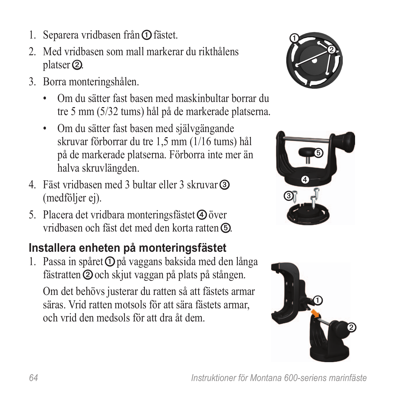- 1. Separera vridbasen från **①** fästet.
- 2. Med vridbasen som mall markerar du rikthålens platser ➋.
- 3. Borra monteringshålen.
	- Om du sätter fast basen med maskinbultar borrar du tre 5 mm (5/32 tums) hål på de markerade platserna.
	- Om du sätter fast basen med självgängande skruvar förborrar du tre 1,5 mm (1/16 tums) hål på de markerade platserna. Förborra inte mer än halva skruvlängden.
- 4. Fäst vridbasen med 3 bultar eller 3 skruvar ➌ (medföljer ej).
- 5. Placera det vridbara monteringsfästet ➍ över vridbasen och fäst det med den korta ratten **6**.

# **Installera enheten på monteringsfästet**

1. Passa in spåret  $\Phi$  på vaggans baksida med den långa fästratten **②** och skjut vaggan på plats på stången. Om det behövs justerar du ratten så att fästets armar säras. Vrid ratten motsols för att sära fästets armar, och vrid den medsols för att dra åt dem.





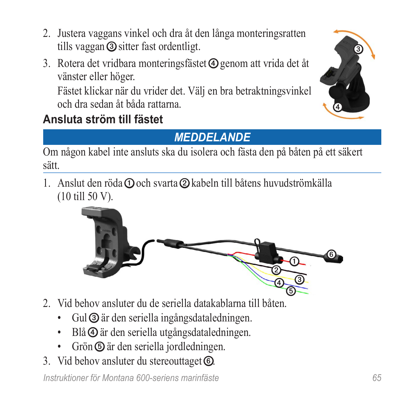- 2. Justera vaggans vinkel och dra åt den långa monteringsratten tills vaggan ➌ sitter fast ordentligt.
- 3. Rotera det vridbara monteringsfästet <a>Q genom att vrida det åt vänster eller höger.

Fästet klickar när du vrider det. Välj en bra betraktningsvinkel och dra sedan åt båda rattarna.

# **Ansluta ström till fästet**



# *Meddelande*

Om någon kabel inte ansluts ska du isolera och fästa den på båten på ett säkert sätt.

1. Anslut den röda  $\Omega$  och svarta  $\Omega$  kabeln till båtens huvudströmkälla (10 till 50 V).



- 2. Vid behov ansluter du de seriella datakablarna till båten.
	- Gul ➌ är den seriella ingångsdataledningen.
	- Blå  $\Phi$  är den seriella utgångsdataledningen.
	- Grön  $\circledcirc$  är den seriella jordledningen.
- 3. Vid behov ansluter du stereouttaget *to*.

*Instruktioner för Montana 600-seriens marinfäste 65*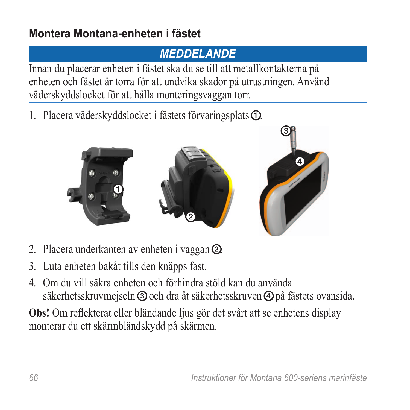### **Montera Montana-enheten i fästet**

# *Meddelande*

Innan du placerar enheten i fästet ska du se till att metallkontakterna på enheten och fästet är torra för att undvika skador på utrustningen. Använd väderskyddslocket för att hålla monteringsvaggan torr.

1. Placera väderskyddslocket i fästets förvaringsplats **①**.



- 2. Placera underkanten av enheten i vaggan ➋.
- 3. Luta enheten bakåt tills den knäpps fast.
- 4. Om du vill säkra enheten och förhindra stöld kan du använda säkerhetsskruvmejseln ➌ och dra åt säkerhetsskruven ➍ på fästets ovansida.

**Obs!** Om reflekterat eller bländande ljus gör det svårt att se enhetens display monterar du ett skärmbländskydd på skärmen.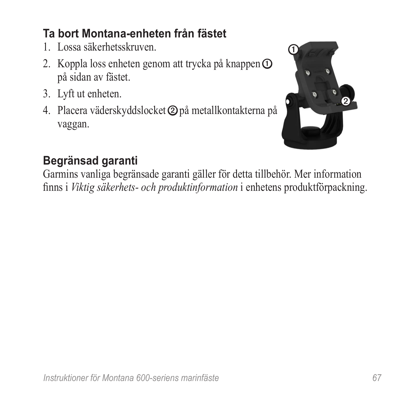# **Ta bort Montana-enheten från fästet**

- 1. Lossa säkerhetsskruven.
- 2. Koppla loss enheten genom att trycka på knappen **①** på sidan av fästet.
- 3. Lyft ut enheten.
- 4. Placera väderskyddslocket ➋ på metallkontakterna på vaggan.



# **Begränsad garanti**

Garmins vanliga begränsade garanti gäller för detta tillbehör. Mer information finns i *Viktig säkerhets- och produktinformation* i enhetens produktförpackning.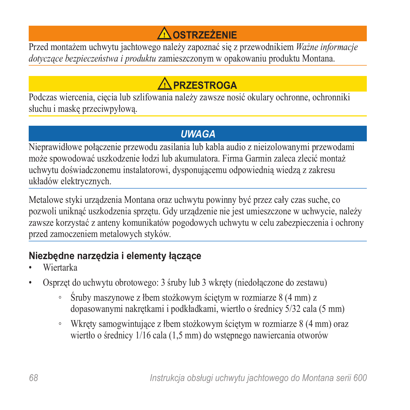# **Ostrzeżenie**

Przed montażem uchwytu jachtowego należy zapoznać się z przewodnikiem *Ważne informacje dotyczące bezpieczeństwa i produktu* zamieszczonym w opakowaniu produktu Montana.

# **PRZESTROGA**

Podczas wiercenia, cięcia lub szlifowania należy zawsze nosić okulary ochronne, ochronniki słuchu i maskę przeciwpyłową.

#### *uwaga*

Nieprawidłowe połączenie przewodu zasilania lub kabla audio z nieizolowanymi przewodami może spowodować uszkodzenie łodzi lub akumulatora. Firma Garmin zaleca zlecić montaż uchwytu doświadczonemu instalatorowi, dysponującemu odpowiednią wiedzą z zakresu układów elektrycznych.

Metalowe styki urządzenia Montana oraz uchwytu powinny być przez cały czas suche, co pozwoli uniknąć uszkodzenia sprzętu. Gdy urządzenie nie jest umieszczone w uchwycie, należy zawsze korzystać z anteny komunikatów pogodowych uchwytu w celu zabezpieczenia i ochrony przed zamoczeniem metalowych styków.

#### **Niezbędne narzędzia i elementy łączące**

- Wiertarka
- Osprzęt do uchwytu obrotowego: 3 śruby lub 3 wkręty (niedołączone do zestawu)
	- Śruby maszynowe z łbem stożkowym ściętym w rozmiarze 8 (4 mm) z dopasowanymi nakrętkami i podkładkami, wiertło o średnicy 5/32 cala (5 mm)
	- Wkręty samogwintujące z łbem stożkowym ściętym w rozmiarze 8 (4 mm) oraz wiertło o średnicy 1/16 cala (1,5 mm) do wstępnego nawiercania otworów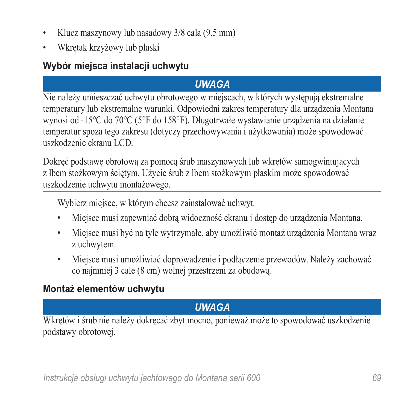- Klucz maszynowy lub nasadowy 3/8 cala (9,5 mm)
- Wkrętak krzyżowy lub płaski

#### **Wybór miejsca instalacji uchwytu**

#### *uwaga*

Nie należy umieszczać uchwytu obrotowego w miejscach, w których występują ekstremalne temperatury lub ekstremalne warunki. Odpowiedni zakres temperatury dla urządzenia Montana wynosi od -15°C do 70°C (5°F do 158°F). Długotrwałe wystawianie urządzenia na działanie temperatur spoza tego zakresu (dotyczy przechowywania i użytkowania) może spowodować uszkodzenie ekranu LCD.

Dokręć podstawę obrotową za pomocą śrub maszynowych lub wkrętów samogwintujących z łbem stożkowym ściętym. Użycie śrub z łbem stożkowym płaskim może spowodować uszkodzenie uchwytu montażowego.

Wybierz miejsce, w którym chcesz zainstalować uchwyt.

- Miejsce musi zapewniać dobrą widoczność ekranu i dostep do urządzenia Montana.
- Miejsce musi być na tyle wytrzymałe, aby umożliwić montaż urządzenia Montana wraz z uchwytem.
- Miejsce musi umożliwiać doprowadzenie i podłączenie przewodów. Należy zachować co najmniej 3 cale (8 cm) wolnej przestrzeni za obudową.

#### **Montaż elementów uchwytu**

#### *uwaga*

Wkrętów i śrub nie należy dokręcać zbyt mocno, ponieważ może to spowodować uszkodzenie podstawy obrotowej.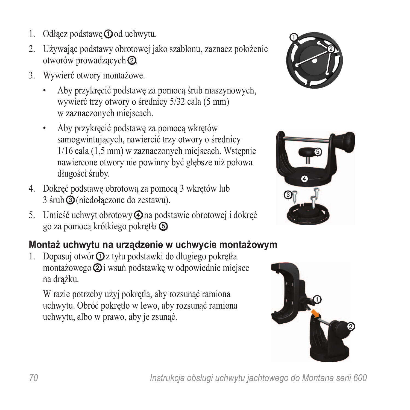- 1. Odłacz podstawe $\Omega$  od uchwytu.
- 2. Używając podstawy obrotowej jako szablonu, zaznacz położenie otworów prowadzących ➋.
- 3. Wywierć otwory montażowe.
	- Aby przykręcić podstawę za pomocą śrub maszynowych, wywierć trzy otwory o średnicy 5/32 cala (5 mm) w zaznaczonych miejscach.
	- Aby przykręcić podstawę za pomocą wkrętów samogwintujących, nawiercić trzy otwory o średnicy 1/16 cala (1,5 mm) w zaznaczonych miejscach. Wstępnie nawiercone otwory nie powinny być głębsze niż połowa długości śruby.
- 4. Dokręć podstawę obrotową za pomocą 3 wkrętów lub 3 śrub ➌ (niedołączone do zestawu).
- 5. Umieść uchwyt obrotowy ➍ na podstawie obrotowej i dokręć go za pomocą krótkiego pokrętła ➎.

#### **Montaż uchwytu na urządzenie w uchwycie montażowym**

1. Dopasuj otwór ➊ z tyłu podstawki do długiego pokrętła montażowego ➋ i wsuń podstawkę w odpowiednie miejsce na drążku.

W razie potrzeby użyj pokrętła, aby rozsunąć ramiona uchwytu. Obróć pokrętło w lewo, aby rozsunąć ramiona uchwytu, albo w prawo, aby je zsunąć.





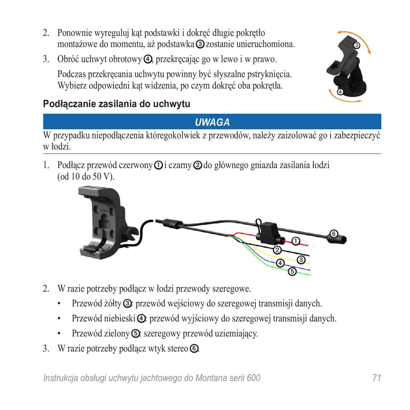- 2. Ponownie wyreguluj kąt podstawki i dokręć długie pokrętło montażowe do momentu, aż podstawka ➌ zostanie unieruchomiona.
- 3. Obróć uchwyt obrotowy ➍, przekręcając go w lewo i w prawo.

Podczas przekręcania uchwytu powinny być słyszalne pstryknięcia. Wybierz odpowiedni kąt widzenia, po czym dokręć oba pokrętła.





#### *Uwaga*

W przypadku niepodłączenia któregokolwiek z przewodów, należy zaizolować go i zabezpieczyć w łodzi.

1. Podłącz przewód czerwony **O** i czarny **②** do głównego gniazda zasilania łodzi (od 10 do 50 V).



- 2. W razie potrzeby podłącz w łodzi przewody szeregowe.
	- Przewód żółty **③**: przewód wejściowy do szeregowej transmisji danych.
	- Przewód niebieski $\Phi$ : przewód wyjściowy do szeregowej transmisji danych.
	- Przewód zielony **<u>O:**</u> szeregowy przewód uziemiający.
- 3. W razie potrzeby podłącz wtyk stereo **.**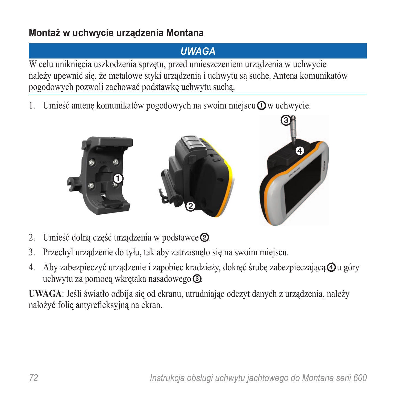#### **Montaż w uchwycie urządzenia Montana**

#### *Uwaga*

W celu uniknięcia uszkodzenia sprzętu, przed umieszczeniem urządzenia w uchwycie należy upewnić się, że metalowe styki urządzenia i uchwytu są suche. Antena komunikatów pogodowych pozwoli zachować podstawkę uchwytu suchą.

1. Umieść antenę komunikatów pogodowych na swoim miejscu $\Omega$  w uchwycie.



- 2. Umieść dolną część urządzenia w podstawce ➋.
- 3. Przechyl urządzenie do tyłu, tak aby zatrzasnęło się na swoim miejscu.
- 4. Aby zabezpieczyć urządzenie i zapobiec kradzieży, dokręć śrubę zabezpieczającą  $\Phi$ u góry uchwytu za pomocą wkrętaka nasadowego ➌.

**UWAGA**: Jeśli światło odbija się od ekranu, utrudniając odczyt danych z urządzenia, należy nałożyć folię antyrefleksyjną na ekran.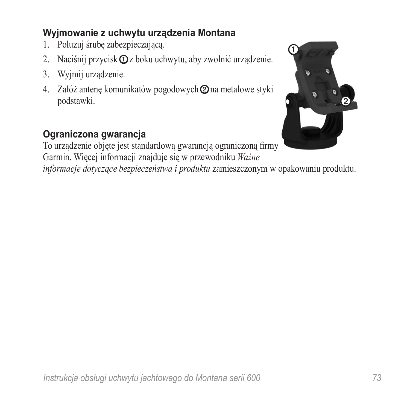## **Wyjmowanie z uchwytu urządzenia Montana**

- 1. Poluzuj śrubę zabezpieczającą.
- 2. Naciśnij przycisk  $\Phi$ z boku uchwytu, aby zwolnić urządzenie.
- 3. Wyjmij urządzenie.
- 4. Załóż antenę komunikatów pogodowych ➋ na metalowe styki podstawki.

## **Ograniczona gwarancja**

To urządzenie objęte jest standardową gwarancją ograniczoną firmy Garmin. Więcej informacji znajduje się w przewodniku *Ważne* 

*informacje dotyczące bezpieczeństwa i produktu* zamieszczonym w opakowaniu produktu.

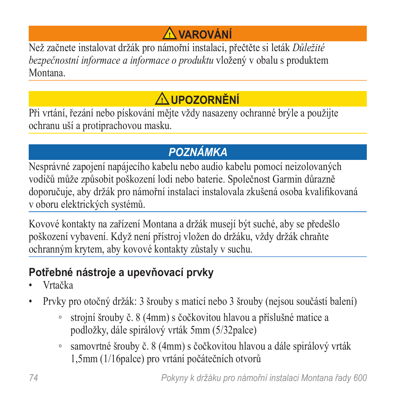# **Varování**

Než začnete instalovat držák pro námořní instalaci, přečtěte si leták *Důležité bezpečnostní informace a informace o produktu* vložený v obalu s produktem Montana.

# **UPOZORNĚNÍ**

Při vrtání, řezání nebo pískování mějte vždy nasazeny ochranné brýle a použijte ochranu uší a protiprachovou masku.

# *poznámka*

Nesprávné zapojení napájecího kabelu nebo audio kabelu pomocí neizolovaných vodičů může způsobit poškození lodi nebo baterie. Společnost Garmin důrazně doporučuje, aby držák pro námořní instalaci instalovala zkušená osoba kvalifikovaná v oboru elektrických systémů.

Kovové kontakty na zařízení Montana a držák musejí být suché, aby se předešlo poškození vybavení. Když není přístroj vložen do držáku, vždy držák chraňte ochranným krytem, aby kovové kontakty zůstaly v suchu.

# **Potřebné nástroje a upevňovací prvky**

- Vrtačka
- Prvky pro otočný držák: 3 šrouby s maticí nebo 3 šrouby (nejsou součástí balení)
	- strojní šrouby č. 8 (4mm) s čočkovitou hlavou a příslušné matice a podložky, dále spirálový vrták 5mm (5/32palce)
	- samovrtné šrouby č. 8 (4mm) s čočkovitou hlavou a dále spirálový vrták 1,5mm (1/16palce) pro vrtání počátečních otvorů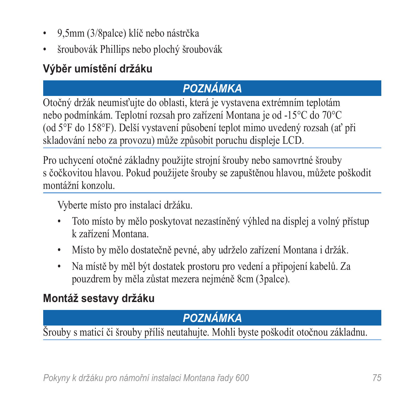- 9,5mm (3/8palce) klíč nebo nástrčka
- šroubovák Phillips nebo plochý šroubovák

# **Výběr umístění držáku**

# *poznámka*

Otočný držák neumisťujte do oblasti, která je vystavena extrémním teplotám nebo podmínkám. Teplotní rozsah pro zařízení Montana je od -15°C do 70°C (od 5°F do 158°F). Delší vystavení působení teplot mimo uvedený rozsah (ať při skladování nebo za provozu) může způsobit poruchu displeje LCD.

Pro uchycení otočné základny použijte strojní šrouby nebo samovrtné šrouby s čočkovitou hlavou. Pokud použijete šrouby se zapuštěnou hlavou, můžete poškodit montážní konzolu.

Vyberte místo pro instalaci držáku.

- Toto místo by mělo poskytovat nezastíněný výhled na displej a volný přístup k zařízení Montana.
- Místo by mělo dostatečně pevné, aby udrželo zařízení Montana i držák.
- Na místě by měl být dostatek prostoru pro vedení a připojení kabelů. Za pouzdrem by měla zůstat mezera nejméně 8cm (3palce).

# **Montáž sestavy držáku**

# *poznámka*

Šrouby s maticí či šrouby příliš neutahujte. Mohli byste poškodit otočnou základnu.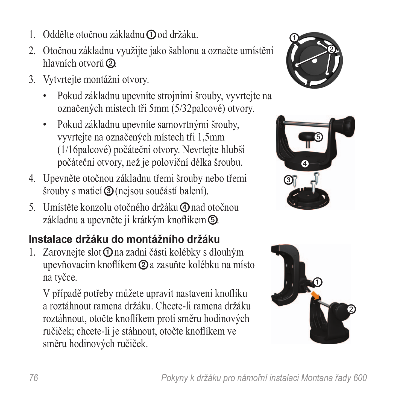- 1. Oddělte otočnou základnu **O** od držáku.
- 2. Otočnou základnu využijte jako šablonu a označte umístění hlavních otvorů 2.
- 3. Vytvrtejte montážní otvory.
	- Pokud základnu upevníte strojními šrouby, vyvrtejte na označených místech tři 5mm (5/32palcové) otvory.
	- Pokud základnu upevníte samovrtnými šrouby, vyvrtejte na označených místech tři 1,5mm (1/16palcové) počáteční otvory. Nevrtejte hlubší počáteční otvory, než je poloviční délka šroubu.
- 4. Upevněte otočnou základnu třemi šrouby nebo třemi šrouby s maticí ➌ (nejsou součástí balení).
- 5. Umístěte konzolu otočného držáku ➍ nad otočnou základnu a upevněte ji krátkým knoflíkem ➎.

# **Instalace držáku do montážního držáku**

1. Zarovnejte slot **O** na zadní části kolébky s dlouhým upevňovacím knoflíkem ➋ a zasuňte kolébku na místo na tyčce.

V případě potřeby můžete upravit nastavení knoflíku a roztáhnout ramena držáku. Chcete-li ramena držáku roztáhnout, otočte knoflíkem proti směru hodinových ručiček; chcete-li je stáhnout, otočte knoflíkem ve směru hodinových ručiček.





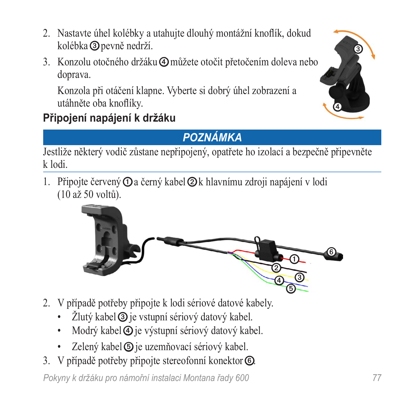- 2. Nastavte úhel kolébky a utahujte dlouhý montážní knoflík, dokud kolébka ➌ pevně nedrží.
- 3. Konzolu otočného držáku ➍ můžete otočit přetočením doleva nebo doprava.

Konzola při otáčení klapne. Vyberte si dobrý úhel zobrazení a utáhněte oba knoflíky.



# **Připojení napájení k držáku**

# *Poznámka*

Jestliže některý vodič zůstane nepřipojený, opatřete ho izolací a bezpečně připevněte k lodi.

1. Připojte červený **O** a černý kabel **2** k hlavnímu zdroji napájení v lodi (10 až 50 voltů).



- 2. V případě potřeby připojte k lodi sériové datové kabely.
	- Žlutý kabel **③** je vstupní sériový datový kabel.
	- Modrý kabel  $\Phi$  je výstupní sériový datový kabel.
	- Zelený kabel **v** je uzemňovací sériový kabel.
- 3. V případě potřeby připojte stereofonní konektor *©*.

*Pokyny k držáku pro námořní instalaci Montana řady 600 77*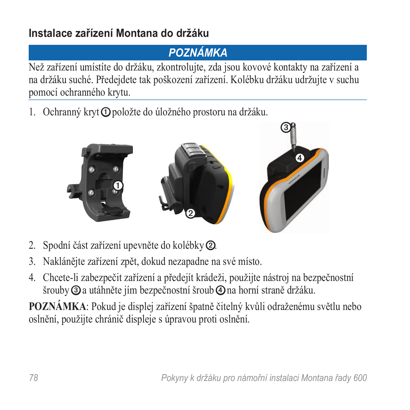## **Instalace zařízení Montana do držáku**

## *Poznámka*

Než zařízení umístíte do držáku, zkontrolujte, zda jsou kovové kontakty na zařízení a na držáku suché. Předejdete tak poškození zařízení. Kolébku držáku udržujte v suchu pomocí ochranného krytu.

1. Ochranný kryt **O** položte do úložného prostoru na držáku.



- 2. Spodní část zařízení upevněte do kolébky ➋.
- 3. Naklánějte zařízení zpět, dokud nezapadne na své místo.
- 4. Chcete-li zabezpečit zařízení a předejít krádeži, použijte nástroj na bezpečnostní šrouby ➌ a utáhněte jím bezpečnostní šroub ➍ na horní straně držáku.

**POZNÁMKA**: Pokud je displej zařízení špatně čitelný kvůli odraženému světlu nebo oslnění, použijte chránič displeje s úpravou proti oslnění.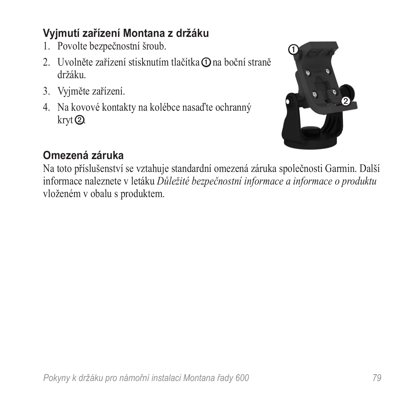## **Vyjmutí zařízení Montana z držáku**

- 1. Povolte bezpečnostní šroub.
- 2. Uvolněte zařízení stisknutím tlačítka **O** na boční straně držáku.
- 3. Vyjměte zařízení.
- 4. Na kovové kontakty na kolébce nasaďte ochranný kryt ➋.



## **Omezená záruka**

Na toto příslušenství se vztahuje standardní omezená záruka společnosti Garmin. Další informace naleznete v letáku *Důležité bezpečnostní informace a informace o produktu* vloženém v obalu s produktem.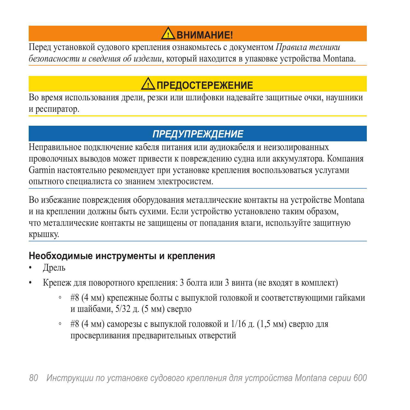# $\Lambda$  внимание!

Перед установкой судового крепления ознакомьтесь с документом *Правила техники безопасности и сведения об изделии*, который находится в упаковке устройства Montana.

# **ПРЕДОСТЕРЕЖЕНИЕ**

Во время использования дрели, резки или шлифовки надевайте защитные очки, наушники и респиратор.

## *предупреждение*

Неправильное подключение кабеля питания или аудиокабеля и неизолированных проволочных выводов может привести к повреждению судна или аккумулятора. Компания Garmin настоятельно рекомендует при установке крепления воспользоваться услугами опытного специалиста со знанием электросистем.

Во избежание повреждения оборудования металлические контакты на устройстве Montana и на креплении должны быть сухими. Если устройство установлено таким образом, что металлические контакты не защищены от попадания влаги, используйте защитную крышку.

#### **Необходимые инструменты и крепления**

- Дрель
- Крепеж для поворотного крепления: 3 болта или 3 винта (не входят в комплект)
	- #8 (4 мм) крепежные болты с выпуклой головкой и соответствующими гайками и шайбами, 5/32 д. (5 мм) сверло
	- #8 (4 мм) саморезы с выпуклой головкой и  $1/16$  д.  $(1, 5)$  мм) сверло для просверливания предварительных отверстий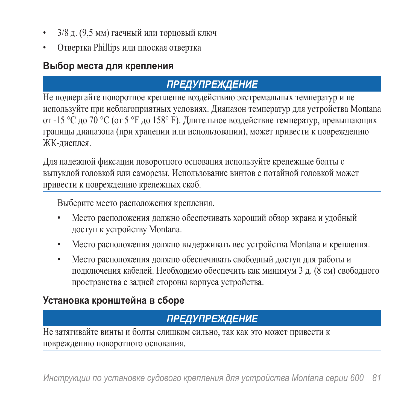- 3/8 д. (9,5 мм) гаечный или торцовый ключ
- Отвертка Phillips или плоская отвертка

#### **Выбор места для крепления**

## *предупреждение*

Не подвергайте поворотное крепление воздействию экстремальных температур и не используйте при неблагоприятных условиях. Диапазон температур для устройства Montana от -15 °C до 70 °C (от 5 °F до 158° F). Длительное воздействие температур, превышающих границы диапазона (при хранении или использовании), может привести к повреждению ЖК-дисплея.

Для надежной фиксации поворотного основания используйте крепежные болты с выпуклой головкой или саморезы. Использование винтов с потайной головкой может привести к повреждению крепежных скоб.

Выберите место расположения крепления.

- Место расположения должно обеспечивать хороший обзор экрана и удобный доступ к устройству Montana.
- Место расположения должно выдерживать вес устройства Montana и крепления.
- Место расположения должно обеспечивать свободный доступ для работы и подключения кабелей. Необходимо обеспечить как минимум 3 д. (8 см) свободного пространства с задней стороны корпуса устройства.

## **Установка кронштейна в сборе**

## *предупреждение*

Не затягивайте винты и болты слишком сильно, так как это может привести к повреждению поворотного основания.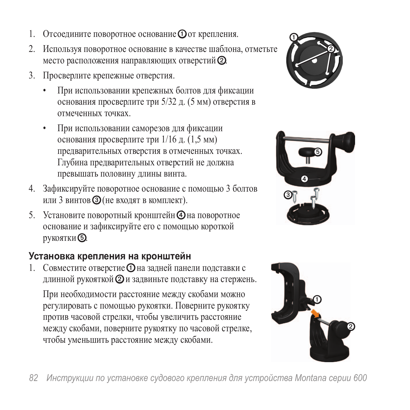- 1. Отсоедините поворотное основание  $\Phi$  от крепления.
- 2. Используя поворотное основание в качестве шаблона, отметьте место расположения направляющих отверстий ➋.
- 3. Просверлите крепежные отверстия.
	- При использовании крепежных болтов для фиксации основания просверлите три 5/32 д. (5 мм) отверстия в отмеченных точках.
	- При использовании саморезов для фиксации основания просверлите три 1/16 д. (1,5 мм) предварительных отверстия в отмеченных точках. Глубина предварительных отверстий не должна превышать половину длины винта.
- 4. Зафиксируйте поворотное основание с помощью 3 болтов или 3 винтов ➌ (не входят в комплект).
- 5. Установите поворотный кронштейн Ф на поворотное основание и зафиксируйте его с помощью короткой рукоятки ➎.

## **Установка крепления на кронштейн**

1. Совместите отверстие О на задней панели подставки с длинной рукояткой ➋ и задвиньте подставку на стержень.

При необходимости расстояние между скобами можно регулировать с помощью рукоятки. Поверните рукоятку против часовой стрелки, чтобы увеличить расстояние между скобами, поверните рукоятку по часовой стрелке, чтобы уменьшить расстояние между скобами.





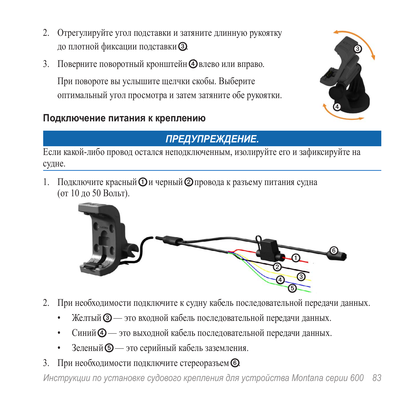- 2. Отрегулируйте угол подставки и затяните длинную рукоятку до плотной фиксации подставки ➌.
- 3. Поверните поворотный кронштейн Ф влево или вправо.

При повороте вы услышите щелчки скобы. Выберите оптимальный угол просмотра и затем затяните обе рукоятки.

## **Подключение питания к креплению**



## *Предупреждение.*

Если какой-либо провод остался неподключенным, изолируйте его и зафиксируйте на судне.

1. Подключите красный  $\mathbf 0$  и черный  $\mathbf 0$  провода к разъему питания судна (от 10 до 50 Вольт).



- 2. При необходимости подключите к судну кабель последовательной передачи данных.
	- Желтый **③** это входной кабель последовательной передачи данных.
	- Синий  $\Phi$  это выходной кабель последовательной передачи данных.
	- Зеленый **©** это серийный кабель заземления.
- 3. При необходимости подключите стереоразъем **©**.

*Инструкции по установке судового крепления для устройства Montana серии 600 83*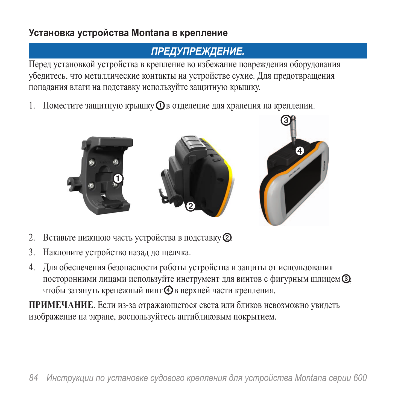## **Установка устройства Montana в крепление**

## *Предупреждение.*

Перед установкой устройства в крепление во избежание повреждения оборудования убедитесь, что металлические контакты на устройстве сухие. Для предотвращения попадания влаги на подставку используйте защитную крышку.

1. Поместите защитную крышку  $\Phi$ в отделение для хранения на креплении.



- 2. Вставьте нижнюю часть устройства в подставку ➋.
- 3. Наклоните устройство назад до щелчка.
- 4. Для обеспечения безопасности работы устройства и защиты от использования посторонними лицами используйте инструмент для винтов с фигурным шлицем ➌, чтобы затянуть крепежный винт ➍ в верхней части крепления.

**ПРИМЕЧАНИЕ**. Если из-за отражающегося света или бликов невозможно увидеть изображение на экране, воспользуйтесь антибликовым покрытием.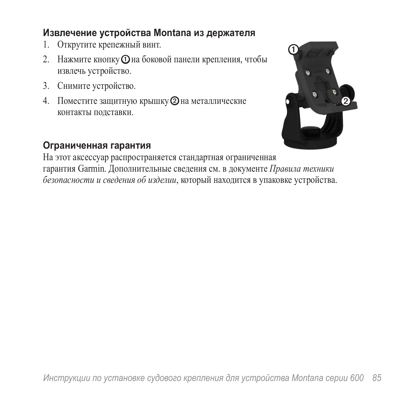#### **Извлечение устройства Montana из держателя**

- 1. Открутите крепежный винт.
- 2. Нажмите кнопку О на боковой панели крепления, чтобы извлечь устройство.
- 3. Снимите устройство.
- 4. Поместите защитную крышку  $\oslash$  на металлические контакты подставки.



#### **Ограниченная гарантия**

На этот аксессуар распространяется стандартная ограниченная гарантия Garmin. Дополнительные сведения см. в документе *Правила техники безопасности и сведения об изделии*, который находится в упаковке устройства.